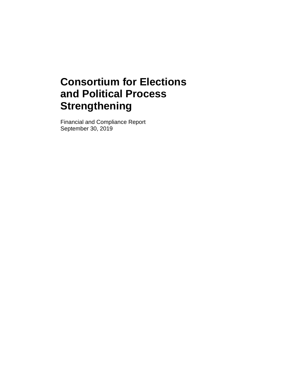Financial and Compliance Report September 30, 2019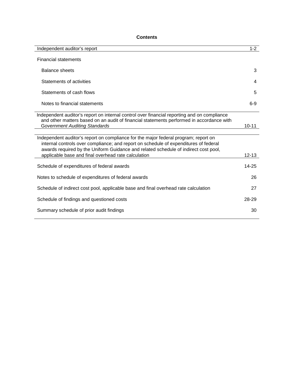## **Contents**

| Independent auditor's report                                                                                                                                                                                                                                                                                              | $1 - 2$   |
|---------------------------------------------------------------------------------------------------------------------------------------------------------------------------------------------------------------------------------------------------------------------------------------------------------------------------|-----------|
| <b>Financial statements</b>                                                                                                                                                                                                                                                                                               |           |
| <b>Balance sheets</b>                                                                                                                                                                                                                                                                                                     | 3         |
| Statements of activities                                                                                                                                                                                                                                                                                                  | 4         |
| Statements of cash flows                                                                                                                                                                                                                                                                                                  | 5         |
| Notes to financial statements                                                                                                                                                                                                                                                                                             | $6 - 9$   |
| Independent auditor's report on internal control over financial reporting and on compliance<br>and other matters based on an audit of financial statements performed in accordance with<br><b>Government Auditing Standards</b>                                                                                           | $10 - 11$ |
| Independent auditor's report on compliance for the major federal program; report on<br>internal controls over compliance; and report on schedule of expenditures of federal<br>awards required by the Uniform Guidance and related schedule of indirect cost pool,<br>applicable base and final overhead rate calculation | $12 - 13$ |
| Schedule of expenditures of federal awards                                                                                                                                                                                                                                                                                | 14-25     |
| Notes to schedule of expenditures of federal awards                                                                                                                                                                                                                                                                       | 26        |
| Schedule of indirect cost pool, applicable base and final overhead rate calculation                                                                                                                                                                                                                                       | 27        |
| Schedule of findings and questioned costs                                                                                                                                                                                                                                                                                 | 28-29     |
| Summary schedule of prior audit findings                                                                                                                                                                                                                                                                                  | 30        |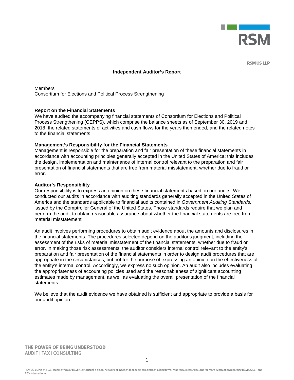

**RSM US LLP** 

#### **Independent Auditor's Report**

**Members** Consortium for Elections and Political Process Strengthening

#### **Report on the Financial Statements**

We have audited the accompanying financial statements of Consortium for Elections and Political Process Strengthening (CEPPS), which comprise the balance sheets as of September 30, 2019 and 2018, the related statements of activities and cash flows for the years then ended, and the related notes to the financial statements.

#### **Management's Responsibility for the Financial Statements**

Management is responsible for the preparation and fair presentation of these financial statements in accordance with accounting principles generally accepted in the United States of America; this includes the design, implementation and maintenance of internal control relevant to the preparation and fair presentation of financial statements that are free from material misstatement, whether due to fraud or error.

#### **Auditor's Responsibility**

Our responsibility is to express an opinion on these financial statements based on our audits. We conducted our audits in accordance with auditing standards generally accepted in the United States of America and the standards applicable to financial audits contained in *Government Auditing Standards,* issued by the Comptroller General of the United States. Those standards require that we plan and perform the audit to obtain reasonable assurance about whether the financial statements are free from material misstatement.

An audit involves performing procedures to obtain audit evidence about the amounts and disclosures in the financial statements. The procedures selected depend on the auditor's judgment, including the assessment of the risks of material misstatement of the financial statements, whether due to fraud or error. In making those risk assessments, the auditor considers internal control relevant to the entity's preparation and fair presentation of the financial statements in order to design audit procedures that are appropriate in the circumstances, but not for the purpose of expressing an opinion on the effectiveness of the entity's internal control. Accordingly, we express no such opinion. An audit also includes evaluating the appropriateness of accounting policies used and the reasonableness of significant accounting estimates made by management, as well as evaluating the overall presentation of the financial statements.

We believe that the audit evidence we have obtained is sufficient and appropriate to provide a basis for our audit opinion.

THE POWER OF BEING UNDERSTOOD AUDIT | TAX | CONSULTING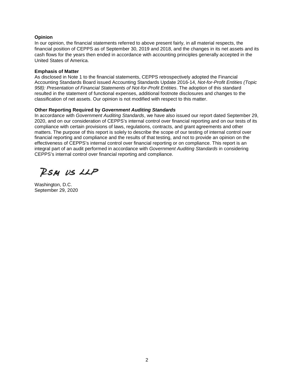## **Opinion**

In our opinion, the financial statements referred to above present fairly, in all material respects, the financial position of CEPPS as of September 30, 2019 and 2018, and the changes in its net assets and its cash flows for the years then ended in accordance with accounting principles generally accepted in the United States of America.

#### **Emphasis of Matter**

As disclosed in Note 1 to the financial statements, CEPPS retrospectively adopted the Financial Accounting Standards Board issued Accounting Standards Update 2016-14, *Not-for-Profit Entities (Topic 958): Presentation of Financial Statements of Not-for-Profit Entities*. The adoption of this standard resulted in the statement of functional expenses, additional footnote disclosures and changes to the classification of net assets. Our opinion is not modified with respect to this matter.

#### **Other Reporting Required by** *Government Auditing Standards*

In accordance with *Government Auditing Standards*, we have also issued our report dated September 29, 2020, and on our consideration of CEPPS's internal control over financial reporting and on our tests of its compliance with certain provisions of laws, regulations, contracts, and grant agreements and other matters. The purpose of this report is solely to describe the scope of our testing of internal control over financial reporting and compliance and the results of that testing, and not to provide an opinion on the effectiveness of CEPPS's internal control over financial reporting or on compliance. This report is an integral part of an audit performed in accordance with *Government Auditing Standards* in considering CEPPS's internal control over financial reporting and compliance.

RSM US LLP

Washington, D.C. September 29, 2020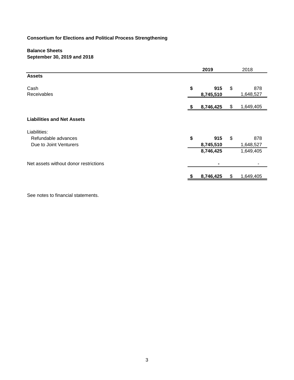## **Balance Sheets September 30, 2019 and 2018**

|                                       | 2019                   |    |                  |  |  |
|---------------------------------------|------------------------|----|------------------|--|--|
| <b>Assets</b>                         |                        |    |                  |  |  |
| Cash<br>Receivables                   | \$<br>915<br>8,745,510 | \$ | 878<br>1,648,527 |  |  |
|                                       | 8,746,425              | \$ | 1,649,405        |  |  |
| <b>Liabilities and Net Assets</b>     |                        |    |                  |  |  |
| Liabilities:                          |                        |    |                  |  |  |
| Refundable advances                   | \$<br>915              | \$ | 878              |  |  |
| Due to Joint Venturers                | 8,745,510              |    | 1,648,527        |  |  |
|                                       | 8,746,425              |    | 1,649,405        |  |  |
| Net assets without donor restrictions |                        |    |                  |  |  |
|                                       | 8,746,425              | \$ | 1,649,405        |  |  |
|                                       |                        |    |                  |  |  |

See notes to financial statements.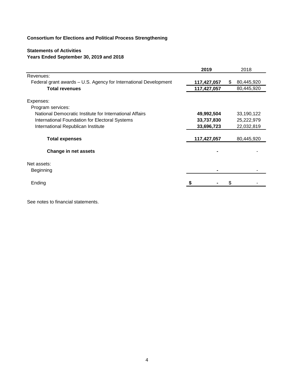## **Statements of Activities Years Ended September 30, 2019 and 2018**

|                                                                  | 2019        | 2018             |
|------------------------------------------------------------------|-------------|------------------|
| Revenues:                                                        |             |                  |
| Federal grant awards - U.S. Agency for International Development | 117,427,057 | 80,445,920<br>\$ |
| <b>Total revenues</b>                                            | 117,427,057 | 80,445,920       |
| Expenses:                                                        |             |                  |
| Program services:                                                |             |                  |
| National Democratic Institute for International Affairs          | 49,992,504  | 33,190,122       |
| International Foundation for Electoral Systems                   | 33,737,830  | 25,222,979       |
| International Republican Institute                               | 33,696,723  | 22,032,819       |
| <b>Total expenses</b>                                            | 117,427,057 | 80,445,920       |
| Change in net assets                                             |             |                  |
| Net assets:                                                      |             |                  |
| Beginning                                                        |             |                  |
| Ending                                                           |             |                  |
|                                                                  |             |                  |

See notes to financial statements.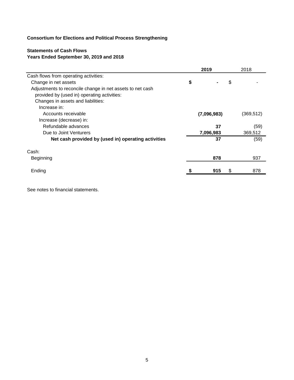## **Statements of Cash Flows Years Ended September 30, 2019 and 2018**

|                                                           | 2019        | 2018       |
|-----------------------------------------------------------|-------------|------------|
| Cash flows from operating activities:                     |             |            |
| Change in net assets                                      | \$          | \$         |
| Adjustments to reconcile change in net assets to net cash |             |            |
| provided by (used in) operating activities:               |             |            |
| Changes in assets and liabilities:                        |             |            |
| Increase in:                                              |             |            |
| Accounts receivable                                       | (7,096,983) | (369, 512) |
| Increase (decrease) in:                                   |             |            |
| Refundable advances                                       | 37          | (59)       |
| Due to Joint Venturers                                    | 7,096,983   | 369,512    |
| Net cash provided by (used in) operating activities       | 37          | (59)       |
| Cash:                                                     |             |            |
| Beginning                                                 | 878         | 937        |
|                                                           |             |            |
| Ending                                                    | 915         | 878        |

See notes to financial statements.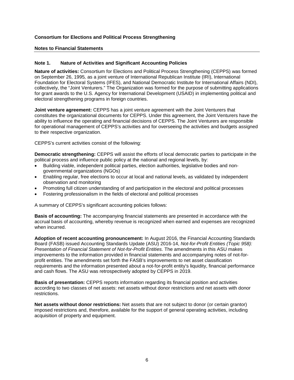## **Notes to Financial Statements**

## **Note 1. Nature of Activities and Significant Accounting Policies**

**Nature of activities:** Consortium for Elections and Political Process Strengthening (CEPPS) was formed on September 26, 1995*,* as a joint venture of International Republican Institute (IRI), International Foundation for Electoral Systems (IFES), and National Democratic Institute for International Affairs (NDI), collectively, the "Joint Venturers." The Organization was formed for the purpose of submitting applications for grant awards to the U.S. Agency for International Development (USAID) in implementing political and electoral strengthening programs in foreign countries.

**Joint venture agreement:** CEPPS has a joint venture agreement with the Joint Venturers that constitutes the organizational documents for CEPPS. Under this agreement, the Joint Venturers have the ability to influence the operating and financial decisions of CEPPS. The Joint Venturers are responsible for operational management of CEPPS's activities and for overseeing the activities and budgets assigned to their respective organization.

CEPPS's current activities consist of the following:

**Democratic strengthening:** CEPPS will assist the efforts of local democratic parties to participate in the political process and influence public policy at the national and regional levels, by:

- Building viable, independent political parties, election authorities, legislative bodies and nongovernmental organizations (NGOs)
- Enabling regular, free elections to occur at local and national levels, as validated by independent observation and monitoring
- Promoting full citizen understanding of and participation in the electoral and political processes
- Fostering professionalism in the fields of electoral and political processes

A summary of CEPPS's significant accounting policies follows:

**Basis of accounting:** The accompanying financial statements are presented in accordance with the accrual basis of accounting, whereby revenue is recognized when earned and expenses are recognized when incurred.

**Adoption of recent accounting pronouncement:** In August 2016, the Financial Accounting Standards Board (FASB) issued Accounting Standards Update (ASU) 2016-14, *Not-for-Profit Entities (Topic 958): Presentation of Financial Statement of Not-for-Profit Entities.* The amendments in this ASU makes improvements to the information provided in financial statements and accompanying notes of not-forprofit entities. The amendments set forth the FASB's improvements to net asset classification requirements and the information presented about a not-for-profit entity's liquidity, financial performance and cash flows. The ASU was retrospectively adopted by CEPPS in 2019.

**Basis of presentation:** CEPPS reports information regarding its financial position and activities according to two classes of net assets: net assets without donor restrictions and net assets with donor restrictions.

**Net assets without donor restrictions:** Net assets that are not subject to donor (or certain grantor) imposed restrictions and, therefore, available for the support of general operating activities, including acquisition of property and equipment.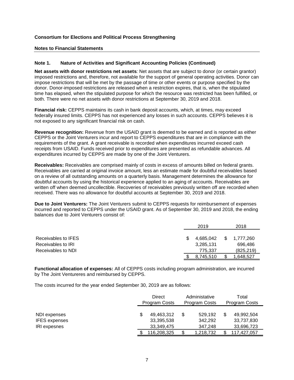#### **Notes to Financial Statements**

#### **Note 1. Nature of Activities and Significant Accounting Policies (Continued)**

**Net assets with donor restrictions net assets***:* Net assets that are subject to donor (or certain grantor) imposed restrictions and, therefore, not available for the support of general operating activities. Donor can impose restrictions that will be met by the passage of time or other events or purpose specified by the donor. Donor-imposed restrictions are released when a restriction expires, that is, when the stipulated time has elapsed, when the stipulated purpose for which the resource was restricted has been fulfilled, or both. There were no net assets with donor restrictions at September 30, 2019 and 2018.

**Financial risk:** CEPPS maintains its cash in bank deposit accounts, which, at times, may exceed federally insured limits. CEPPS has not experienced any losses in such accounts. CEPPS believes it is not exposed to any significant financial risk on cash.

**Revenue recognition:** Revenue from the USAID grant is deemed to be earned and is reported as either CEPPS or the Joint Venturers incur and report to CEPPS expenditures that are in compliance with the requirements of the grant. A grant receivable is recorded when expenditures incurred exceed cash receipts from USAID. Funds received prior to expenditures are presented as refundable advances. All expenditures incurred by CEPPS are made by one of the Joint Venturers.

**Receivables:** Receivables are comprised mainly of costs in excess of amounts billed on federal grants. Receivables are carried at original invoice amount, less an estimate made for doubtful receivables based on a review of all outstanding amounts on a quarterly basis. Management determines the allowance for doubtful accounts by using the historical experience applied to an aging of accounts. Receivables are written off when deemed uncollectible. Recoveries of receivables previously written off are recorded when received. There was no allowance for doubtful accounts at September 30, 2019 and 2018.

**Due to Joint Venturers:** The Joint Venturers submit to CEPPS requests for reimbursement of expenses incurred and reported to CEPPS under the USAID grant. As of September 30, 2019 and 2018, the ending balances due to Joint Venturers consist of:

|                            | 2019      |     | 2018       |
|----------------------------|-----------|-----|------------|
|                            |           |     |            |
| Receivables to <b>IFES</b> | 4.685.042 | \$. | 1,777,260  |
| Receivables to IRI         | 3,285,131 |     | 696.486    |
| Receivables to NDI         | 775.337   |     | (825, 219) |
|                            | 8.745.510 |     | ,648,527   |

**Functional allocation of expenses:** All of CEPPS costs including program administration, are incurred by The Joint Ventureres and reimbursed by CEPPS.

The costs incurred for the year ended September 30, 2019 are as follows:

|                                                             | <b>Direct</b><br><b>Program Costs</b>  | Administative<br><b>Program Costs</b> | Total<br><b>Program Costs</b> |                                        |  |
|-------------------------------------------------------------|----------------------------------------|---------------------------------------|-------------------------------|----------------------------------------|--|
| NDI expenses<br><b>IFES</b> expenses<br><b>IRI</b> expesnes | 49,463,312<br>33,395,538<br>33.349.475 | 529,192<br>342.292<br>347.248         | \$                            | 49,992,504<br>33,737,830<br>33,696,723 |  |
|                                                             | 116,208,325                            | 1,218,732                             |                               | 117.427.057                            |  |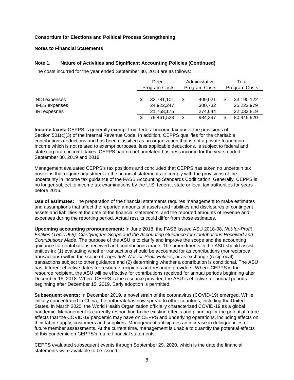#### **Notes to Financial Statements**

## **Note 1. Nature of Activities and Significant Accounting Policies (Continued)**

The costs incurred for the year ended September 30, 2018 are as follows:

|                                                             | Direct<br>Program Costs                |    | Administative<br>Total<br><b>Program Costs</b><br><b>Program Costs</b> |    |                                        |
|-------------------------------------------------------------|----------------------------------------|----|------------------------------------------------------------------------|----|----------------------------------------|
| NDI expenses<br><b>IFES</b> expenses<br><b>IRI</b> expesnes | 32,781,101<br>24,922,247<br>21,758,175 | \$ | 409,021<br>300,732<br>274.644                                          | \$ | 33,190,122<br>25,222,979<br>22,032,819 |
|                                                             | 79,461,523                             | \$ | 984,397                                                                |    | 80,445,920                             |

**Income taxes:** CEPPS is generally exempt from federal income tax under the provisions of Section 501(c)(3) of the Internal Revenue Code. In addition, CEPPS qualifies for the charitable contributions deductions and has been classified as an organization that is not a private foundation. Income which is not related to exempt purposes, less applicable deductions, is subject to federal and state corporate income taxes. CEPPS had no net unrelated business income for the years ended September 30, 2019 and 2018.

Management evaluated CEPPS's tax positions and concluded that CEPPS has taken no uncertain tax positions that require adjustment to the financial statements to comply with the provisions of the uncertainty in income tax guidance of the FASB Accounting Standards Codification. Generally, CEPPS is no longer subject to income tax examinations by the U.S. federal, state or local tax authorities for years before 2016.

**Use of estimates:** The preparation of the financial statements requires management to make estimates and assumptions that affect the reported amounts of assets and liabilities and disclosures of contingent assets and liabilities at the date of the financial statements, and the reported amounts of revenue and expenses during the reporting period. Actual results could differ from those estimates.

**Upcoming accounting pronouncement:** In June 2018, the FASB issued ASU 2018-08, *Not-for-Profit Entitles (Topic 958): Clarifying the Scope and the Accounting Guidance for Contributions Received and Contributions Made*. The purpose of the ASU is to clarify and improve the scope and the accounting guidance for contributions received and contributions made. The amendments in the ASU should assist entities in: (1) evaluating whether transactions should be accounted for as contributions (nonreciprocal transactions) within the scope of *Topic 958, Not-for-Profit Entities*, or as exchange (reciprocal) transactions subject to other guidance and (2) determining whether a contribution is conditional. The ASU has different effective dates for resource recipients and resource providers. Where CEPPS is the resource recipient, the ASU will be effective for contributions received for annual periods beginning after December 15, 2018. Where CEPPS is the resource provider, the ASU is effective for annual periods beginning after December 15, 2019. Early adoption is permitted.

**Subsequent events:** In December 2019, a novel strain of the coronavirus (COVID-19) emerged. While initially concentrated in China, the outbreak has now spread to other countries, including the United States. In March 2020, the World Health Organization officially characterized COVID-19 as a global pandemic. Management is currently responding to the existing effects and planning for the potential future effects that the COVID-19 pandemic may have on CEPPS and underlying operations, including effects on their labor supply, customers and suppliers. Management anticipates an increase in delinquencies of future member assessments. At the current time, management is unable to quantify the potential effects of this pandemic on CEPPS's future financial statements.

CEPPS evaluated subsequent events through September 29, 2020, which is the date the financial statements were available to be issued.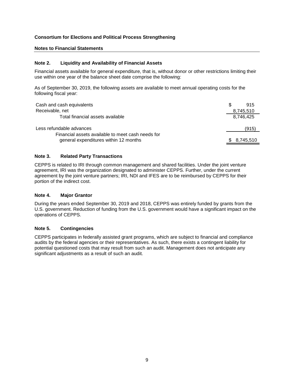## **Notes to Financial Statements**

## **Note 2. Liquidity and Availability of Financial Assets**

Financial assets available for general expenditure, that is, without donor or other restrictions limiting their use within one year of the balance sheet date comprise the following:

As of September 30, 2019, the following assets are available to meet annual operating costs for the following fiscal year:

| Cash and cash equivalents                                                                  | 915         |
|--------------------------------------------------------------------------------------------|-------------|
| Receivable, net                                                                            | 8,745,510   |
| Total financial assets available                                                           | 8,746,425   |
| Less refundable advances                                                                   | (915)       |
| Financial assets available to meet cash needs for<br>general expenditures within 12 months | \$8,745,510 |

## **Note 3. Related Party Transactions**

CEPPS is related to IRI through common management and shared facilities. Under the joint venture agreement, IRI was the organization designated to administer CEPPS. Further, under the current agreement by the joint venture partners; IRI, NDI and IFES are to be reimbursed by CEPPS for their portion of the indirect cost.

#### **Note 4. Major Grantor**

During the years ended September 30, 2019 and 2018, CEPPS was entirely funded by grants from the U.S. government. Reduction of funding from the U.S. government would have a significant impact on the operations of CEPPS.

#### **Note 5. Contingencies**

CEPPS participates in federally assisted grant programs, which are subject to financial and compliance audits by the federal agencies or their representatives. As such, there exists a contingent liability for potential questioned costs that may result from such an audit. Management does not anticipate any significant adjustments as a result of such an audit.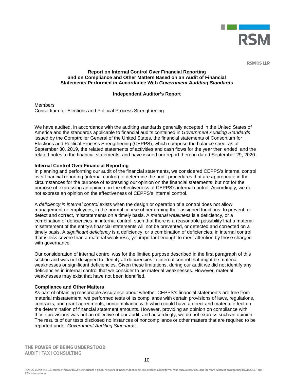

**RSM US LLP** 

#### **Report on Internal Control Over Financial Reporting and on Compliance and Other Matters Based on an Audit of Financial Statements Performed in Accordance With** *Government Auditing Standards*

#### **Independent Auditor's Report**

Members Consortium for Elections and Political Process Strengthening

We have audited, in accordance with the auditing standards generally accepted in the United States of America and the standards applicable to financial audits contained in *Government Auditing Standards*  issued by the Comptroller General of the United States, the financial statements of Consortium for Elections and Political Process Strengthening (CEPPS), which comprise the balance sheet as of September 30, 2019, the related statements of activities and cash flows for the year then ended, and the related notes to the financial statements, and have issued our report thereon dated September 29, 2020.

#### **Internal Control Over Financial Reporting**

In planning and performing our audit of the financial statements, we considered CEPPS's internal control over financial reporting (internal control) to determine the audit procedures that are appropriate in the circumstances for the purpose of expressing our opinion on the financial statements, but not for the purpose of expressing an opinion on the effectiveness of CEPPS's internal control. Accordingly, we do not express an opinion on the effectiveness of CEPPS's internal control.

A *deficiency in internal control* exists when the design or operation of a control does not allow management or employees, in the normal course of performing their assigned functions, to prevent, or detect and correct, misstatements on a timely basis. A *material weakness* is a deficiency, or a combination of deficiencies, in internal control, such that there is a reasonable possibility that a material misstatement of the entity's financial statements will not be prevented, or detected and corrected on a timely basis. A *significant deficiency* is a deficiency, or a combination of deficiencies, in internal control that is less severe than a material weakness, yet important enough to merit attention by those charged with governance.

Our consideration of internal control was for the limited purpose described in the first paragraph of this section and was not designed to identify all deficiencies in internal control that might be material weaknesses or significant deficiencies. Given these limitations, during our audit we did not identify any deficiencies in internal control that we consider to be material weaknesses. However, material weaknesses may exist that have not been identified.

#### **Compliance and Other Matters**

As part of obtaining reasonable assurance about whether CEPPS's financial statements are free from material misstatement, we performed tests of its compliance with certain provisions of laws, regulations, contracts, and grant agreements, noncompliance with which could have a direct and material effect on the determination of financial statement amounts. However, providing an opinion on compliance with those provisions was not an objective of our audit, and accordingly, we do not express such an opinion. The results of our tests disclosed no instances of noncompliance or other matters that are required to be reported under *Government Auditing Standards*.

THE POWER OF BEING UNDERSTOOD AUDIT | TAX | CONSULTING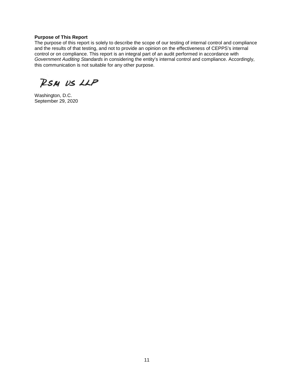## **Purpose of This Report**

The purpose of this report is solely to describe the scope of our testing of internal control and compliance and the results of that testing, and not to provide an opinion on the effectiveness of CEPPS's internal control or on compliance. This report is an integral part of an audit performed in accordance with *Government Auditing Standards* in considering the entity's internal control and compliance. Accordingly, this communication is not suitable for any other purpose.

RSM US LLP

Washington, D.C. September 29, 2020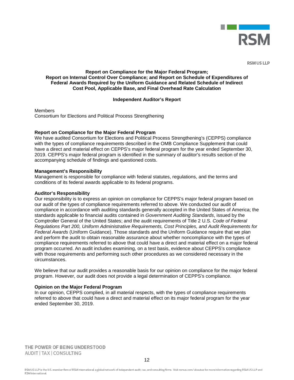

**RSM US LLP** 

## **Report on Compliance for the Major Federal Program; Report on Internal Control Over Compliance; and Report on Schedule of Expenditures of Federal Awards Required by the Uniform Guidance and Related Schedule of Indirect Cost Pool, Applicable Base, and Final Overhead Rate Calculation**

#### **Independent Auditor's Report**

**Members** Consortium for Elections and Political Process Strengthening

#### **Report on Compliance for the Major Federal Program**

We have audited Consortium for Elections and Political Process Strengthening's (CEPPS) compliance with the types of compliance requirements described in the OMB Compliance Supplement that could have a direct and material effect on CEPPS's major federal program for the year ended September 30, 2019. CEPPS's major federal program is identified in the summary of auditor's results section of the accompanying schedule of findings and questioned costs.

#### **Management's Responsibility**

Management is responsible for compliance with federal statutes, regulations, and the terms and conditions of its federal awards applicable to its federal programs.

#### **Auditor's Responsibility**

Our responsibility is to express an opinion on compliance for CEPPS's major federal program based on our audit of the types of compliance requirements referred to above. We conducted our audit of compliance in accordance with auditing standards generally accepted in the United States of America; the standards applicable to financial audits contained in *Government Auditing Standards*, issued by the Comptroller General of the United States; and the audit requirements of Title 2 U.S. *Code of Federal Regulations Part 200, Uniform Administrative Requirements, Cost Principles, and Audit Requirements for Federal Awards* (Uniform Guidance). Those standards and the Uniform Guidance require that we plan and perform the audit to obtain reasonable assurance about whether noncompliance with the types of compliance requirements referred to above that could have a direct and material effect on a major federal program occurred. An audit includes examining, on a test basis, evidence about CEPPS's compliance with those requirements and performing such other procedures as we considered necessary in the circumstances.

We believe that our audit provides a reasonable basis for our opinion on compliance for the major federal program. However, our audit does not provide a legal determination of CEPPS's compliance.

#### **Opinion on the Major Federal Program**

In our opinion, CEPPS complied, in all material respects, with the types of compliance requirements referred to above that could have a direct and material effect on its major federal program for the year ended September 30, 2019.

THE POWER OF BEING UNDERSTOOD AUDIT | TAX | CONSULTING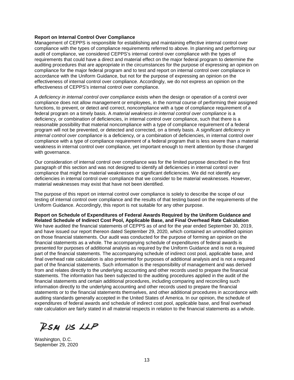#### **Report on Internal Control Over Compliance**

Management of CEPPS is responsible for establishing and maintaining effective internal control over compliance with the types of compliance requirements referred to above. In planning and performing our audit of compliance, we considered CEPPS's internal control over compliance with the types of requirements that could have a direct and material effect on the major federal program to determine the auditing procedures that are appropriate in the circumstances for the purpose of expressing an opinion on compliance for the major federal program and to test and report on internal control over compliance in accordance with the Uniform Guidance, but not for the purpose of expressing an opinion on the effectiveness of internal control over compliance. Accordingly, we do not express an opinion on the effectiveness of CEPPS's internal control over compliance.

A *deficiency in internal control over compliance* exists when the design or operation of a control over compliance does not allow management or employees, in the normal course of performing their assigned functions, to prevent, or detect and correct, noncompliance with a type of compliance requirement of a federal program on a timely basis. A *material weakness in internal control over compliance* is a deficiency, or combination of deficiencies, in internal control over compliance, such that there is a reasonable possibility that material noncompliance with a type of compliance requirement of a federal program will not be prevented, or detected and corrected, on a timely basis. A *significant deficiency in internal control over compliance* is a deficiency, or a combination of deficiencies, in internal control over compliance with a type of compliance requirement of a federal program that is less severe than a material weakness in internal control over compliance, yet important enough to merit attention by those charged with governance.

Our consideration of internal control over compliance was for the limited purpose described in the first paragraph of this section and was not designed to identify all deficiencies in internal control over compliance that might be material weaknesses or significant deficiencies. We did not identify any deficiencies in internal control over compliance that we consider to be material weaknesses. However, material weaknesses may exist that have not been identified.

The purpose of this report on internal control over compliance is solely to describe the scope of our testing of internal control over compliance and the results of that testing based on the requirements of the Uniform Guidance. Accordingly, this report is not suitable for any other purpose.

**Report on Schedule of Expenditures of Federal Awards Required by the Uniform Guidance and Related Schedule of Indirect Cost Pool, Applicable Base, and Final Overhead Rate Calculation** We have audited the financial statements of CEPPS as of and for the year ended September 30, 2019, and have issued our report thereon dated September 29, 2020, which contained an unmodified opinion on those financial statements. Our audit was conducted for the purpose of forming an opinion on the financial statements as a whole. The accompanying schedule of expenditures of federal awards is presented for purposes of additional analysis as required by the Uniform Guidance and is not a required part of the financial statements. The accompanying schedule of indirect cost pool, applicable base, and final overhead rate calculation is also presented for purposes of additional analysis and is not a required part of the financial statements. Such information is the responsibility of management and was derived from and relates directly to the underlying accounting and other records used to prepare the financial statements. The information has been subjected to the auditing procedures applied in the audit of the financial statements and certain additional procedures, including comparing and reconciling such information directly to the underlying accounting and other records used to prepare the financial statements or to the financial statements themselves, and other additional procedures in accordance with auditing standards generally accepted in the United States of America. In our opinion, the schedule of expenditures of federal awards and schedule of indirect cost pool, applicable base, and final overhead rate calculation are fairly stated in all material respects in relation to the financial statements as a whole.

RSM US LLP

Washington, D.C. September 29, 2020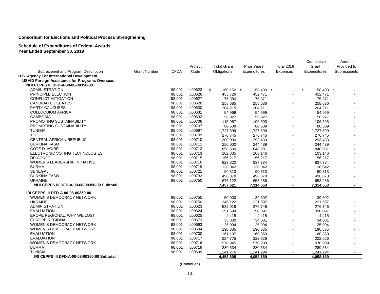## **Schedule of Expenditures of Federal Awards**

**Year Ended September 30, 2019**

|                                                       |                     |             | Project | <b>Total Grant</b> | Prior Years' | <b>Total 2019</b> | Cumulative<br>Grant | Amount<br>Provided to    |
|-------------------------------------------------------|---------------------|-------------|---------|--------------------|--------------|-------------------|---------------------|--------------------------|
| Subrecipient and Program Description                  | <b>Grant Number</b> | <b>CFDA</b> | Code    | Obligations        | Expenditures | Expenses          | Expenditures        | Subrecipients            |
| U.S. Agency For International Development:            |                     |             |         |                    |              |                   |                     |                          |
| <b>USAID Foreign Assistance for Programs Overseas</b> |                     |             |         |                    |              |                   |                     |                          |
| NDI CEPPS III DFD-A-00-08-00350-00                    |                     |             |         |                    |              |                   |                     |                          |
| <b>ADMINISTRATION</b>                                 |                     | 98.001      | L00623  | \$<br>160,152 \$   | 158,403 \$   |                   | \$<br>158,403 \$    |                          |
| PRINCIPLE ELECTION                                    |                     | 98.001      | L00626  | 453,726            | 452,471      |                   | 452,471             |                          |
| <b>CONFLICT MITIGATION</b>                            |                     | 98.001      | L00627  | 75,380             | 75,371       |                   | 75,371              |                          |
| <b>CANDIDATE DEBATES</b>                              |                     | 98.001      | L00628  | 258,685            | 258,636      |                   | 258,636             |                          |
| <b>PARTY CAUCUSES</b>                                 |                     | 98.001      | L00630  | 204,215            | 204,211      |                   | 204,211             |                          |
| <b>COLLOQUIUM AFRICA</b>                              |                     | 98.001      | L00631  | 54,969             | 54,969       |                   | 54,969              |                          |
| <b>CAMBODIA</b>                                       |                     | 98.001      | L00632  | 56,927             | 56,927       |                   | 56,927              |                          |
| PROMOTING SUSTAINABILITY                              |                     | 98.001      | L00706  | 115,987            | 106,593      |                   | 106,593             |                          |
| PROMOTING SUSTAINABILITY                              |                     | 98.001      | L00707  | 80,509             | 80,509       |                   | 80,509              |                          |
| <b>TUNISIA</b>                                        |                     | 98.001      | L00697  | 1,727,599          | 1,727,599    |                   | 1,727,599           |                          |
| <b>TOGO</b>                                           |                     | 98.001      | L00709  | 276,745            | 276,745      |                   | 276,745             |                          |
| <b>CENTRAL AFRICAN REPUBLIC</b>                       |                     | 98.001      | L00710  | 300,000            | 293,433      |                   | 293,433             |                          |
| <b>BURKINA FASO</b>                                   |                     | 98.001      | L00711  | 250,000            | 244,489      |                   | 244,489             |                          |
| <b>COTE D'IVOIRE</b>                                  |                     | 98.001      | L00712  | 858,500            | 848,981      |                   | 848,981             |                          |
| ELECTRONIC VOTING TECHNOLOGIES                        |                     | 98.001      | L00713  | 102,835            | 103,146      |                   | 103,146             |                          |
| DR CONGO                                              |                     | 98.001      | L00715  | 156,217            | 156,217      |                   | 156,217             |                          |
| <b>WOMEN'S LEADERSHIP INITIATIVE</b>                  |                     | 98.001      | L00716  | 923,820            | 837,334      |                   | 837,334             |                          |
| <b>BURMA</b>                                          |                     | 98.001      | L00719  | 138,042            | 138,042      |                   | 138,042             |                          |
| SENEGAL                                               |                     | 98.001      | L00721  | 90,313             | 90,313       |                   | 90,313              |                          |
| <b>BURKINA FASO</b>                                   |                     | 98.001      | L00732  | 496,878            | 496,878      |                   | 496,878             |                          |
| <b>UKRAINE</b>                                        |                     | 98.001      | L00750  | 676,122            | 653,286      |                   | 653,286             |                          |
| NDI CEPPS III DFD-A-00-08-00350-00 Subtotal           |                     |             |         | 7,457,621          | 7,314,553    | $\blacksquare$    | 7,314,553           | $\overline{\phantom{0}}$ |
| IRI CEPPS III DFD-A-00-08-00350-00                    |                     |             |         |                    |              |                   |                     |                          |
| WOMEN'S DEMOCRACY NETWORK                             |                     | 98.001      | L00755  | 50,000             | 39,602       |                   | 39,602              |                          |
| <b>UKRAINE</b>                                        |                     | 98.001      | L00750  | 346,122            | 221,597      |                   | 221,597             |                          |
| <b>ADMINISTRATION</b>                                 |                     | 98.001      | L00623  | 532,018            | 276,746      |                   | 276,746             |                          |
| <b>EVALUATION</b>                                     |                     | 98.001      | L00624  | 391,594            | 390,097      |                   | 390,097             |                          |
| EROPE REGIONAL: WHY WE LOST                           |                     | 98.001      | L00625  | 4,415              | 4,415        |                   | 4,415               |                          |
| <b>EUROPE REGIONAL</b>                                |                     | 98.001      | L00673  | 35,000             | 34,081       |                   | 34,081              |                          |
| <b>WOMEN'S DEMOCRACY NETWORK</b>                      |                     | 98.001      | L00693  | 25,094             | 25,094       |                   | 25,094              |                          |
| <b>WOMEN'S DEMOCRACY NETWORK</b>                      |                     | 98.001      | L00694  | 190,835            | 190,835      |                   | 190,835             |                          |
| <b>EVALUATION</b>                                     |                     | 98.001      | L00700  | 161,197            | 160,359      |                   | 160,359             |                          |
| <b>EVALUATION</b>                                     |                     | 98.001      | L00717  | 224,775            | 222,626      |                   | 222,626             |                          |
| WOMEN'S DEMOCRACY NETWORK                             |                     | 98.001      | L00716  | 970,945            | 970,909      |                   | 970,909             |                          |
| <b>BURMA</b>                                          |                     | 98.001      | L00719  | 280,534            | 280,534      |                   | 280,534             |                          |
| <b>TUNISIA</b>                                        |                     | 98.001      | L00699  | 1,241,276          | 1,241,294    |                   | 1,241,294           |                          |
| IRI CEPPS III DFD-A-00-08-00350-00 Subtotal           |                     |             |         | 4,453,805          | 4,058,189    | $\blacksquare$    | 4,058,189           | $\blacksquare$           |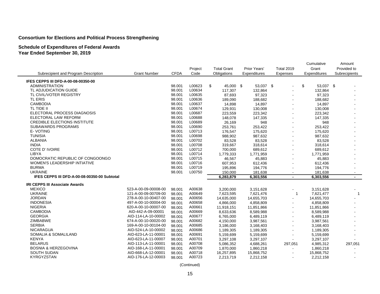# **Schedule of Expenditures of Federal Awards**

**Year Ended September 30, 2019**

|                                              |                      |             |         |                    |              |                   | Cumulative      | Amount                   |
|----------------------------------------------|----------------------|-------------|---------|--------------------|--------------|-------------------|-----------------|--------------------------|
|                                              |                      |             | Project | <b>Total Grant</b> | Prior Years' | <b>Total 2019</b> | Grant           | Provided to              |
| Subrecipient and Program Description         | <b>Grant Number</b>  | <b>CFDA</b> | Code    | Obligations        | Expenditures | Expenses          | Expenditures    | Subrecipients            |
| IFES CEPPS III DFD-A-00-08-00350-00          |                      |             |         |                    |              |                   |                 |                          |
| <b>ADMINISTRATION</b>                        |                      | 98.001      | L00623  | \$<br>45.000 \$    | 53,037 \$    |                   | \$<br>53.037 \$ |                          |
| TL ADJUDICATION GUIDE                        |                      | 98.001      | L00634  | 117,307            | 132,864      |                   | 132,864         |                          |
| TL CIVIL/VOTER REGISTRY                      |                      | 98.001      | L00635  | 87,693             | 97,323       |                   | 97,323          |                          |
| <b>TL ERIS</b>                               |                      | 98.001      | L00636  | 189,090            | 188,682      |                   | 188,682         |                          |
| CAMBODIA                                     |                      | 98.001      | L00637  | 14,898             | 14,897       |                   | 14,897          |                          |
| TL TIDE II                                   |                      | 98.001      | L00674  | 129.931            | 130.008      |                   | 130.008         |                          |
| ELECTORAL PROCESS DIAGNOSIS                  |                      | 98.001      | L00687  | 223,559            | 223,342      |                   | 223,342         |                          |
| ELECTORAL LAW REFORM                         |                      | 98.001      | L00688  | 148,078            | 147,335      |                   | 147,335         |                          |
| <b>CREDIBLE ELECTIONS INSTITUTE</b>          |                      | 98.001      | L00689  | 26,169             | 948          |                   | 948             |                          |
| <b>SUBAWARDS PROGRAMS</b>                    |                      | 98.001      | L00690  | 253,761            | 253,422      |                   | 253,422         |                          |
| E-VOTING                                     |                      | 98.001      | L00713  | 176,547            | 175,620      |                   | 175,620         |                          |
| <b>TUNISIA</b>                               |                      | 98.001      | L00698  | 988,902            | 987,632      |                   | 987,632         |                          |
| <b>ALBANIA</b>                               |                      | 98.001      | L00702  | 83,528             | 83.528       |                   | 83,528          |                          |
| <b>INDIA</b>                                 |                      | 98.001      | L00708  | 319,667            | 318,614      |                   | 318,614         |                          |
| COTE D' IVOIRE                               |                      | 98.001      | L00712  | 700,000            | 689,612      |                   | 689,612         |                          |
| LIBYA                                        |                      | 98.001      | L00714  | 1,779,333          | 1,771,959    |                   | 1,771,959       |                          |
| DOMOCRATIC REPUBLIC OF CONGOONGO             |                      | 98.001      | L00715  | 46,567             | 45,883       |                   | 45,883          |                          |
| WOMEN'S LEADERSHIP INTIATIVE                 |                      | 98.001      | L00716  | 607,953            | 612,436      |                   | 612,436         |                          |
| <b>BURMA</b>                                 |                      | 98.001      | L00719  | 195,896            | 194,776      |                   | 194,776         | $\blacksquare$           |
| <b>UKRAINE</b>                               |                      | 98.001      | L00750  | 150,000            | 181,638      | $\blacksquare$    | 181,638         | $\sim$                   |
| IFES CEPPS III DFD-A-00-08-00350-00 Subtotal |                      |             |         | 6,283,879          | 6,303,556    | $\blacksquare$    | 6,303,556       | $\overline{\phantom{a}}$ |
| <b>IRI CEPPS III Associate Awards</b>        |                      |             |         |                    |              |                   |                 |                          |
| <b>MEXICO</b>                                | 523-A-00-09-00008-00 | 98.001      | A00638  | 3,200,000          | 3,151,628    |                   | 3,151,628       |                          |
| <b>UKRAINE</b>                               | 121-A-00-09-00709-00 | 98.001      | A00649  | 7,623,595          | 7,621,476    | $\mathbf{1}$      | 7,621,477       | $\mathbf{1}$             |
| <b>JORDAN</b>                                | 278-A-00-10-00407-00 | 98.001      | A00656  | 14,635,000         | 14,655,703   |                   | 14,655,703      | $\sim$                   |
| <b>INDONESIA</b>                             | 497-A-00-10-00004-00 | 98.001      | A00658  | 4,866,000          | 4,858,809    |                   | 4,858,809       |                          |
| <b>NIGERIA</b>                               | 620-A-00-10-00007-00 | 98.001      | A00661  | 11,918,151         | 11,851,866   |                   | 11,851,866      |                          |
| <b>CAMBODIA</b>                              | AID-442-A-09-00001   | 98.001      | A00669  | 8,633,636          | 8,589,988    |                   | 8,589,988       |                          |
| <b>GEORGIA</b>                               | AID-114-LA-10-00002  | 98.001      | A00677  | 6,765,000          | 6,489,119    |                   | 6,489,119       |                          |
| <b>ZIMBABWE</b>                              | 674-A-00-10-00020-00 | 98.001      | A00682  | 4,150,000          | 3,987,561    |                   | 3,987,561       |                          |
| <b>SERBIA</b>                                | 169-A-00-10-00104-00 | 98.001      | A00685  | 3,186,000          | 3,168,403    |                   | 3,168,403       |                          |
| <b>NICARAGUA</b>                             | AID-524-LA-10-00002  | 98.001      | A00686  | 1,189,305          | 1,189,305    |                   | 1,189,305       |                          |
| SOMALIA & SOMALILAND                         | AID-623-LA-11-00001  | 98.001      | A00691  | 5,159,699          | 5,159,699    |                   | 5,159,699       |                          |
| <b>KENYA</b>                                 | AID-623-LA-11-00007  | 98.001      | A00701  | 3,297,108          | 3,297,107    |                   | 3,297,107       |                          |
| <b>BELARUS</b>                               | AID-113-LA-11-00001  | 98.001      | A00708  | 5,086,352          | 4,688,261    | 297,051           | 4,985,312       | 297,051                  |
| <b>BOSNIA &amp; HERZEGOVINA</b>              | AID-168-LA-11-00001  | 98.001      | A00709  | 1,870,000          | 1,860,218    |                   | 1,860,218       |                          |
| <b>SOUTH SUDAN</b>                           | AID-668-LA-12-00001  | 98.001      | A00718  | 16,257,895         | 15,868,752   |                   | 15,868,752      |                          |
| KYRGYZSTAN                                   | AID-176-LA-12-00003  | 98.001      | A00723  | 2,213,719          | 2,212,158    | $\sim$            | 2,212,158       |                          |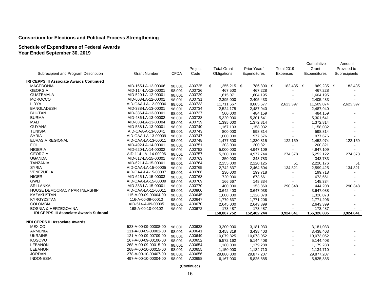## **Schedule of Expenditures of Federal Awards Year Ended September 30, 2019**

|                                                |                      |             |         |                                    |              |                   | Cumulative   | Amount        |
|------------------------------------------------|----------------------|-------------|---------|------------------------------------|--------------|-------------------|--------------|---------------|
|                                                |                      |             | Project | <b>Total Grant</b><br>Prior Years' |              | <b>Total 2019</b> | Grant        | Provided to   |
| Subrecipient and Program Description           | <b>Grant Number</b>  | <b>CFDA</b> | Code    | Obligations                        | Expenditures | Expenses          | Expenditures | Subrecipients |
| IRI CEPPS III Associate Awards Continued       |                      |             |         |                                    |              |                   |              |               |
| <b>MACEDONIA</b>                               | AID-165-LA-12-00006  | 98.001      | A00725  | \$<br>1,255,215 \$                 | 786,800 \$   | 182,435 \$        | 969,235 \$   | 182,435       |
| <b>GEORGIA</b>                                 | AID-114-LA-12-00001  | 98.001      | A00726  | 467,500                            | 467,228      |                   | 467,228      |               |
| <b>GUATEMALA</b>                               | AID-520-LA-12-00001  | 98.001      | A00729  | 1,615,071                          | 1,604,195    |                   | 1,604,195    |               |
| <b>MOROCCO</b>                                 | AID-608-LA-12-00001  | 98.001      | A00731  | 2,395,000                          | 2,405,433    |                   | 2,405,433    |               |
| <b>LIBYA</b>                                   | AID-OAA-LA-12-00006  | 98.001      | A00733  | 11,711,667                         | 8,885,677    | 2,623,397         | 11,509,074   | 2,623,397     |
| <b>BANGLADESH</b>                              | AID-388-LA-13-00001  | 98.001      | A00734  | 2,524,175                          | 2,487,940    | $\overline{a}$    | 2,487,940    |               |
| <b>BHUTAN</b>                                  | AID-386-LA-13-00001  | 98.001      | A00737  | 500,000                            | 484,159      |                   | 484,159      |               |
| <b>BURMA</b>                                   | AID-486-LA-13-00002  | 98.001      | A00738  | 5,320,000                          | 5,301,641    |                   | 5,301,641    |               |
| <b>MALI</b>                                    | AID-688-LA-13-00004  | 98.001      | A00739  | 1,395,000                          | 1,372,814    |                   | 1,372,814    |               |
| <b>GUYANA</b>                                  | AID-538-LA-13-00001  | 98.001      | A00740  | 1,167,133                          | 1,158,032    | $\blacksquare$    | 1,158,032    |               |
| <b>TUNISIA</b>                                 | AID-OAA-A-13-00041   | 98.001      | A00743  | 800,000                            | 598,814      |                   | 598,814      |               |
| <b>SYRIA</b>                                   | AID-OAA-LA-13-00009  | 98.001      | A00747  | 1,000,000                          | 977,676      |                   | 977,676      |               |
| <b>EURASIA REGIONAL</b>                        | AID-OAA-LA-13-00011  | 98.001      | A00748  | 1,477,500                          | 1,330,815    | 122,159           | 1,452,974    | 122,159       |
| <b>FIJI</b>                                    | AID-492-LA-14-00001  | 98.001      | A00751  | 203,000                            | 200,821      |                   | 200,821      |               |
| <b>NIGERIA</b>                                 | AID-620-LA-14-00002  | 98.001      | A00752  | 5,000,000                          | 4,947,109    |                   | 4,947,109    |               |
| <b>GEORGIA</b>                                 | AID-114-LA--14-00006 | 98.001      | A00757  | 5,300,000                          | 4,977,744    | 274,378           | 5,252,122    | 274,378       |
| <b>UGANDA</b>                                  | AID-617-LA-15-00001  | 98.001      | A00763  | 350,000                            | 343,783      | $\sim$            | 343,783      |               |
| <b>TANZANIA</b>                                | AID-621-LA-15-00001  | 98.001      | A00764  | 2,255,000                          | 2,220,125    | 51                | 2,220,176    | 51            |
| <b>SYRIA</b>                                   | AID-OAA-LA-15-00005  | 98.001      | A00765  | 2,742,837                          | 2,464,604    | 134,821           | 2,599,425    | 134,821       |
| VENEZUELA                                      | AID-OAA-LA-15-00007  | 98.001      | A00766  | 230,000                            | 199,718      | $\sim$            | 199,718      |               |
| <b>NIGER</b>                                   | AID-625-LA-15-00003  | 98.001      | A00768  | 720,000                            | 673,661      |                   | 673,661      |               |
| <b>GWLI</b>                                    | AID-OAA-LA-15-00009  | 98.001      | A00769  | 166,667                            | 148,334      |                   | 148,334      |               |
| <b>SRI LANKA</b>                               | AID-383-LA-15-00001  | 98.001      | A00770  | 400,000                            | 153,860      | 290,348           | 444,208      | 290,348       |
| HOUSE DEMOCRACY PARTNERSHIP                    | AID-OAA-LA-11-00011  | 98.001      | A00800  | 3,642,403                          | 3,647,038    | $\sim$            | 3,647,038    |               |
| KAZAKHSTAN                                     | 115-A-00-09-00004-00 | 98.001      | A00645  | 1,600,000                          | 1,326,078    |                   | 1,326,078    |               |
| KYRGYZSTAN                                     | 116-A-00-09-00010    | 98.001      | A00647  | 1,779,637                          | 1,771,206    |                   | 1,771,206    |               |
| <b>COLOMBIA</b>                                | AID-514-A-09-00005   | 98.001      | A00670  | 2,645,000                          | 2,643,399    |                   | 2,643,399    |               |
| <b>BOSNIA &amp; HERZEGOVINA</b>                | 168-A-00-10-00102    | 98.001      | A00672  | 173,487                            | 173,487      |                   | 173,487      |               |
| <b>IRI CEPPS III Associate Awards Subtotal</b> |                      |             |         | 158,887,752                        | 152,402,244  | 3,924,641         | 156,326,885  | 3,924,641     |
|                                                |                      |             |         |                                    |              |                   |              |               |
| <b>NDI CEPPS III Associate Awards</b>          |                      |             |         |                                    |              |                   |              |               |
| <b>MEXICO</b>                                  | 523-A-00-09-00008-00 | 98.001      | A00638  | 3,200,000                          | 3,181,033    |                   | 3,181,033    |               |
| <b>ARMENIA</b>                                 | 111-A-00-09-00001-00 | 98.001      | A00641  | 3,458,319                          | 3,438,403    | $\blacksquare$    | 3,438,403    |               |
| <b>UKRAINE</b>                                 | 121-A-00-09-00709-00 | 98.001      | A00649  | 10,079,825                         | 10,073,052   | $\sim$            | 10,073,052   |               |
| KOSOVO                                         | 167-A-00-09-00106-00 | 98.001      | A00652  | 5,572,162                          | 5,144,408    |                   | 5,144,408    |               |
| <b>LEBANON</b>                                 | 268-A-00-09-00015-00 | 98.001      | A00654  | 1,180,000                          | 1,179,288    | $\sim$            | 1,179,288    |               |
| <b>LEBANON</b>                                 | 268-A-00-10-00015-00 | 98.001      | A00655  | 1,150,000                          | 1,134,710    | $\sim$            | 1,134,710    |               |
| <b>JORDAN</b>                                  | 278-A-00-10-00407-00 | 98.001      | A00656  | 29,880,000                         | 29,877,207   |                   | 29,877,207   |               |
| <b>INDONESIA</b>                               | 497-A-00-10-00004-00 | 98.001      | A00658  | 6,167,000                          | 5,825,885    |                   | 5,825,885    |               |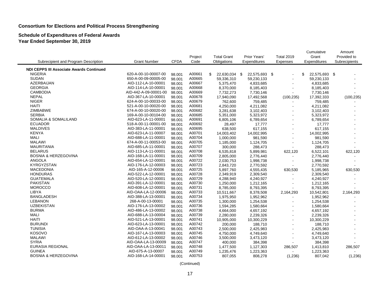#### **Schedule of Expenditures of Federal Awards Year Ended September 30, 2019**

|                                                 |                       |             |         |                     |               |                   |            | Cumulative          | Amount        |
|-------------------------------------------------|-----------------------|-------------|---------|---------------------|---------------|-------------------|------------|---------------------|---------------|
|                                                 |                       |             | Project | <b>Total Grant</b>  | Prior Years'  | <b>Total 2019</b> |            | Grant               | Provided to   |
| Subrecipient and Program Description            | <b>Grant Number</b>   | <b>CFDA</b> | Code    | Obligations         | Expenditures  |                   | Expenses   | Expenditures        | Subrecipients |
| <b>NDI CEPPS III Associate Awards Continued</b> |                       |             |         |                     |               |                   |            |                     |               |
| <b>NIGERIA</b>                                  | 620-A-00-10-00007-00  | 98.001      | A00661  | \$<br>22,630,034 \$ | 22,575,693 \$ |                   |            | \$<br>22,575,693 \$ |               |
| <b>SUDAN</b>                                    | 650-A-00-09-00005-00  | 98.001      | A00665  | 59,336,310          | 59,230,133    |                   |            | 59,230,133          |               |
| AZERBAIJAN                                      | AID-112-LA-10-00001   | 98.001      | A00667  | 5,375,470           | 4,833,685     |                   |            | 4,833,685           |               |
| <b>GEORGIA</b>                                  | AID-114-LA-10-00001   | 98.001      | A00668  | 8,370,000           | 8,185,403     |                   |            | 8,185,403           |               |
| <b>CAMBODIA</b>                                 | AID-442-A-09-00001-00 | 98.001      | A00669  | 7,732,273           | 7,730,146     |                   |            | 7,730,146           |               |
| <b>NEPAL</b>                                    | AID-367-LA-10-00001   | 98.001      | A00678  | 17,940,090          | 17,492,568    |                   | (100, 235) | 17,392,333          | (100, 235)    |
| <b>NIGER</b>                                    | 624-A-00-10-00033-00  | 98.001      | A00679  | 762,600             | 759,485       |                   |            | 759,485             |               |
| <b>HAITI</b>                                    | 521-A-00-10-00020-00  | 98.001      | A00681  | 4,250,000           | 4,211,082     |                   |            | 4,211,082           |               |
| <b>ZIMBABWE</b>                                 | 674-A-00-10-00020-00  | 98.001      | A00682  | 3,281,638           | 3,102,403     |                   |            | 3,102,403           |               |
| <b>SERBIA</b>                                   | 169-A-00-10-00104-00  | 98.001      | A00685  | 5,351,000           | 5,323,972     |                   |            | 5,323,972           |               |
| SOMALIA & SOMALILAND                            | AID-623-LA-11-00001   | 98.001      | A00691  | 6,805,106           | 6,789,654     |                   |            | 6,789,654           |               |
| <b>ECUADOR</b>                                  | 518-A-00-11-00001-00  | 98.001      | A00692  | 28,497              | 17,777        |                   |            | 17,777              |               |
| <b>MALDIVES</b>                                 | AID-383-LA-11-00001   | 98.001      | A00695  | 638,500             | 617,155       |                   |            | 617,155             |               |
| <b>KENYA</b>                                    | AID-623-LA-11-00007   | 98.001      | A00701  | 14,003,402          | 14,002,995    |                   |            | 14,002,995          |               |
| <b>MALI</b>                                     | AID-688-LA-11-00001   | 98.001      | A00704  | 1,000,000           | 981,590       |                   |            | 981,590             |               |
| <b>MALAWI</b>                                   | 674-A-00-11-00053-00  | 98.001      | A00705  | 1,185,000           | 1,124,705     |                   |            | 1,124,705           |               |
| <b>MAURITANIA</b>                               | AID-685-LA-11-00001   | 98.001      | A00707  | 300,000             | 288,473       |                   |            | 288,473             |               |
| <b>BELARUS</b>                                  | AID-113-LA-11-00001   | 98.001      | A00708  | 6,535,818           | 5,899,981     |                   | 622,120    | 6,522,101           | 622,120       |
| <b>BOSNIA &amp; HERZEGOVINA</b>                 | AID-168-LA-11-00001   | 98.001      | A00709  | 2,805,000           | 2,776,440     |                   |            | 2,776,440           |               |
| <b>ANGOLA</b>                                   | AID-654-LA-12-00001   | 98.001      | A00722  | 2,030,753           | 1,998,738     |                   |            | 1,998,738           |               |
| KYRGYZSTAN                                      | AID-176-LA-12-00003   | 98.001      | A00723  | 2,843,720           | 2,770,592     |                   |            | 2,770,592           |               |
| <b>MACEDONIA</b>                                | AID-165-A-12-00006    | 98.001      | A00725  | 5,897,760           | 4,555,435     |                   | 630,530    | 5,185,965           | 630,530       |
| <b>HONDURAS</b>                                 | AID-522-LA-12-00001   | 98.001      | A00728  | 2,349,919           | 2,309,540     |                   |            | 2,309,540           |               |
| <b>GUATEMALA</b>                                | AID-520-LA-12-00001   | 98.001      | A00729  | 4,288,940           | 4,240,927     |                   |            | 4,240,927           |               |
| <b>PAKISTAN</b>                                 | AID-391-LA-12-00001   | 98.001      | A00730  | 1,250,000           | 1,212,165     |                   |            | 1,212,165           |               |
| <b>MOROCCO</b>                                  | AID-608-LA-12-00001   | 98.001      | A00731  | 8,785,000           | 8,793,395     |                   |            | 8,793,395           |               |
| <b>LIBYA</b>                                    | AID-OAA-LA-12-00006   | 98.001      | A00733  | 10,511,667          | 8,378,508     |                   | 2,164,293  | 10,542,801          | 2,164,293     |
| <b>BANGLADESH</b>                               | AID-388-LA-13-00001   | 98.001      | A00734  | 1,975,950           | 1,952,962     |                   |            | 1,952,962           |               |
| <b>LEBANON</b>                                  | 268-A-00-13-00001     | 98.001      | A00735  | 1,300,000           | 1,254,538     |                   |            | 1,254,538           |               |
| <b>UZBEKISTAN</b>                               | AID-176-LA-13-00002   | 98.001      | A00736  | 1,594,285           | 1,580,664     |                   |            | 1,580,664           |               |
| <b>BURMA</b>                                    | AID-486-LA-13-00002   | 98.001      | A00738  | 4,664,000           | 4,657,192     |                   |            | 4,657,192           |               |
| <b>MALI</b>                                     | AID-688-LA-13-00004   | 98.001      | A00739  | 2,280,000           | 2,239,326     |                   |            | 2,239,326           |               |
| <b>HAITI</b>                                    | AID-521-LA-13-00001   | 98.001      | A00741  | 10,905,000          | 10,300,229    |                   |            | 10,300,229          |               |
| <b>BURUNDI</b>                                  | AID-623-LA-13-00001   | 98.001      | A00742  | 200,000             | 188,710       |                   |            | 188,710             |               |
| <b>TUNISIA</b>                                  | AID-OAA-A-13-00041    | 98.001      | A00743  | 2,500,000           | 2,425,983     |                   |            | 2,425,983           |               |
| <b>KOSOVO</b>                                   | AID-167-LA-13-00003   | 98.001      | A00745  | 4,750,000           | 4,749,640     |                   |            | 4,749,640           |               |
| <b>MALAWI</b>                                   | AID-612-LA-13-00002   | 98.001      | A00746  | 3,500,000           | 3,473,120     |                   |            | 3,473,120           |               |
| <b>SYRIA</b>                                    | AID-OAA-LA-13-00009   | 98.001      | A00747  | 400,000             | 384,398       |                   |            | 384,398             |               |
| EURASIA REGIONAL                                | AID-OAA-LA-13-00011   | 98.001      | A00748  | 1,477,500           | 1,127,303     |                   | 286,507    | 1,413,810           | 286,507       |
| <b>GUINEA</b>                                   | AID-675-A-13-00007    | 98.001      | A00749  | 1,235,476           | 1,223,363     |                   |            | 1,223,363           |               |
| <b>BOSNIA &amp; HERZEGOVINA</b>                 | AID-168-LA-14-00001   | 98.001      | A00753  | 807,055             | 808,278       |                   | (1,236)    | 807,042             | (1,236)       |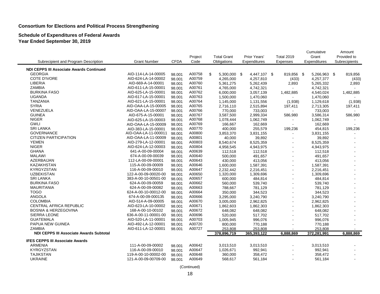#### **Schedule of Expenditures of Federal Awards Year Ended September 30, 2019**

|                                                 |                      |             |         |                    |              |                   | Cumulative   | Amount        |
|-------------------------------------------------|----------------------|-------------|---------|--------------------|--------------|-------------------|--------------|---------------|
|                                                 |                      |             | Project | <b>Total Grant</b> | Prior Years' | <b>Total 2019</b> | Grant        | Provided to   |
| Subrecipient and Program Description            | <b>Grant Number</b>  | <b>CFDA</b> | Code    | Obligations        | Expenditures | Expenses          | Expenditures | Subrecipients |
| <b>NDI CEPPS III Associate Awards Continued</b> |                      |             |         |                    |              |                   |              |               |
| <b>GEORGIA</b>                                  | AID-114-LA-14-00005  | 98.001      | A00758  | \$<br>5,300,000 \$ | 4,447,107 \$ | 819,856 \$        | 5,266,963 \$ | 819,856       |
| <b>COTE D'IVORE</b>                             | AID-624-LA-14-00002  | 98.001      | A00759  | 4,265,000          | 4,257,810    | (433)             | 4,257,377    | (433)         |
| LIBERIA                                         | AID-669-A-14-00001   | 98.001      | A00760  | 5,361,275          | 5,262,439    | 2,893             | 5,265,332    | 2,893         |
| ZAMBIA                                          | AID-611-LA-15-00001  | 98.001      | A00761  | 4,765,000          | 4,742,321    |                   | 4,742,321    |               |
| <b>BURKINA FASO</b>                             | AID-625-LA-15-00001  | 98.001      | A00762  | 6,000,000          | 3,057,139    | 1,482,885         | 4,540,024    | 1,482,885     |
| <b>UGANDA</b>                                   | AID-617-LA-15-00001  | 98.001      | A00763  | 1,500,000          | 1,470,060    |                   | 1,470,060    |               |
| <b>TANZANIA</b>                                 | AID-621-LA-15-00001  | 98.001      | A00764  | 1,145,000          | 1,131,556    | (1,938)           | 1,129,618    | (1,938)       |
| <b>SYRIA</b>                                    | AID-OAA-LA-15-00005  | 98.001      | A00765  | 2,716,110          | 2,515,894    | 197,411           | 2,713,305    | 197,411       |
| VENEZUELA                                       | AID-OAA-LA-15-00007  | 98.001      | A00766  | 770,000            | 733,003      |                   | 733,003      |               |
| <b>GUINEA</b>                                   | AID-675-A-15-00001   | 98.001      | A00767  | 3,587,500          | 2,999,334    | 586,980           | 3,586,314    | 586,980       |
| <b>NIGER</b>                                    | AID-625-LA-15-00003  | 98.001      | A00768  | 1,078,444          | 1,062,749    | $\blacksquare$    | 1,062,749    |               |
| <b>GWLI</b>                                     | AID-OAA-LA-15-00009  | 98.001      | A00769  | 166,667            | 162,669      |                   | 162,669      |               |
| <b>SRI LANKA</b>                                | AID-383-LA-15-00001  | 98.001      | A00770  | 400,000            | 255,579      | 199,236           | 454,815      | 199,236       |
| <b>GOVERNANCE</b>                               | AID-OAA-LA-11-000011 | 98.001      | A00800  | 3,853,370          | 3,831,155    | $\sim$            | 3,831,155    |               |
| <b>CITIZEN PARTICIPATION</b>                    | AID-OAA-LA-11-00009  | 98.001      | A00801  | 40,000             | 39,892       |                   | 39,892       |               |
| <b>YEMEN</b>                                    | AID-279-LA-12-00001  | 98.001      | A00803  | 8,540,674          | 8,525,359    | $\blacksquare$    | 8,525,359    |               |
| <b>NIGER</b>                                    | AID-624-LA-12-00003  | 98.001      | A00804  | 4,958,545          | 4,943,975    |                   | 4,943,975    |               |
| <b>GHANA</b>                                    | 641-A-00-09-00004    | 98.001      | A00639  | 112,518            | 112,518      | $\overline{a}$    | 112,518      |               |
| <b>MALAWI</b>                                   | 674-A-00-09-00039    | 98.001      | A00640  | 500,000            | 491,657      | $\sim$            | 491,657      |               |
| <b>AZERBAIJAN</b>                               | 112-LA-00-09-00001   | 98.001      | A00643  | 430,000            | 413,056      |                   | 413,056      |               |
| KAZAKHSTAN                                      | 115-A-00-09-00009    | 98.001      | A00646  | 1,600,000          | 1,587,391    | $\sim$            | 1,587,391    |               |
| <b>KYRGYZSTAN</b>                               | 116-A-00-09-00010    | 98.001      | A00647  | 2,232,442          | 2,216,451    | $\blacksquare$    | 2,216,451    |               |
| <b>UZBEKISTAN</b>                               | 122-A-00-09-00020-00 | 98.001      | A00650  | 1,320,000          | 1,309,696    | ä,                | 1,309,696    |               |
| <b>SRI LANKA</b>                                | 383-A-00-10-00501-00 | 98.001      | A00657  | 600,000            | 484,814      | $\sim$            | 484,814      |               |
| <b>BURKINA FASO</b>                             | 624-A-00-09-00059    | 98.001      | A00662  | 560,000            | 539,740      |                   | 539,740      |               |
| <b>MAURITANIA</b>                               | 624-A-00-09-00082    | 98.001      | A00663  | 788,667            | 781,129      | ä,                | 781,129      |               |
| <b>TOGO</b>                                     | 624-A-00-10-00012-00 | 98.001      | A00664  | 350,000            | 344,523      | ÷,                | 344,523      |               |
| <b>ANGOLA</b>                                   | 674-A-00-09-000135   | 98.001      | A00666  | 3,295,000          | 3,240,790    |                   | 3,240,790    |               |
| <b>COLOMBIA</b>                                 | AID-514-A-09-00005   | 98.001      | A00670  | 3,005,000          | 2,962,825    | $\blacksquare$    | 2,962,825    |               |
| <b>CENTRAL AFRICA REPUBLIC</b>                  | AID-623-LA-10-00002  | 98.001      | A00671  | 1,862,603          | 1,862,303    |                   | 1,862,303    |               |
| <b>BOSNIA &amp; HERZEGOVINA</b>                 | 168-A-00-10-00102    | 98.001      | A00672  | 648,082            | 648,082      | $\blacksquare$    | 648,082      |               |
| SIERRA LEONE                                    | 636-A-00-11-00001-00 | 98.001      | A00696  | 520,000            | 517,702      | ä,                | 517,702      |               |
| <b>GUATEMALA</b>                                | AID-520-LA-11-00001  | 98.001      | A00703  | 1,005,945          | 996.076      |                   | 996.076      |               |
| PAPUA NEW GUINEA                                | AID-492-LA-12-00001  | 98.001      | A00720  | 800,000            | 770,188      | $\blacksquare$    | 770,188      |               |
| <b>ZAMBIA</b>                                   | AID-611-LA-12-00001  | 98.001      | A00727  | 253,808            | 253,808      |                   | 253,808      |               |
| <b>NDI CEPPS III Associate Awards Subtotal</b>  |                      |             |         | 378,896,719        | 365,393,122  | 6,888,869         | 372,281,991  | 6,888,869     |
| <b>IFES CEPPS III Associate Awards</b>          |                      |             |         |                    |              |                   |              |               |
| <b>ARMENIA</b>                                  | 111-A-00-09-00002    | 98.001      | A00642  | 3,013,510          | 3,013,510    |                   | 3,013,510    |               |
| KYRGYZSTAN                                      | 116-A-00-09-00010    | 98.001      | A00647  | 1,026,671          | 992,941      | ä,                | 992,941      |               |
| <b>TAJIKSTAN</b>                                | 119-A-00-10-00002-00 | 98.001      | A00648  | 360,000            | 358,472      | ä,                | 358,472      |               |
| <b>UKRAINE</b>                                  | 121-A-00-09-00709-00 | 98.001      | A00649  | 568,617            | 561,184      |                   | 561,184      |               |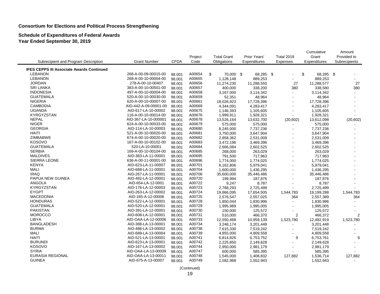#### **Schedule of Expenditures of Federal Awards Year Ended September 30, 2019**

|                                                  |                       |             |         |                    |              |                   | Cumulative      | Amount         |
|--------------------------------------------------|-----------------------|-------------|---------|--------------------|--------------|-------------------|-----------------|----------------|
|                                                  |                       |             | Project | <b>Total Grant</b> | Prior Years' | <b>Total 2019</b> | Grant           | Provided to    |
| Subrecipient and Program Description             | <b>Grant Number</b>   | <b>CFDA</b> | Code    | Obligations        | Expenditures | Expenses          | Expenditures    | Subrecipients  |
| <b>IFES CEPPS III Associate Awards Continued</b> |                       |             |         |                    |              |                   |                 |                |
| <b>LEBANON</b>                                   | 268-A-00-09-00015-00  | 98.001      | A00654  | \$<br>70,000 \$    | 68,285 \$    | $\blacksquare$    | \$<br>68,285 \$ |                |
| <b>LEBANON</b>                                   | 268-A-00-10-00004-00  | 98.001      | A00655  | 1,128,148          | 889,253      |                   | 889,253         |                |
| <b>JORDAN</b>                                    | 278-A-00-10-00407     | 98.001      | A00656  | 11,274,230         | 11,288,550   | 27                | 11,288,577      | 27             |
| <b>SRI LANKA</b>                                 | 383-A-00-10-00501-00  | 98.001      | A00657  | 400,000            | 338,200      | 380               | 338,580         | 380            |
| <b>INDONESIA</b>                                 | 497-A-00-10-00004-00  | 98.001      | A00658  | 3,167,000          | 3,114,342    | $\blacksquare$    | 3,114,342       | $\sim$         |
| <b>GUATEMALA</b>                                 | 520-A-00-10-00030-00  | 98.001      | A00659  | 52,351             | 48,964       | $\blacksquare$    | 48,964          | $\overline{a}$ |
| <b>NIGERIA</b>                                   | 620-A-00-10-00007-00  | 98.001      | A00661  | 18,026,923         | 17,728,396   |                   | 17,728,396      |                |
| <b>CAMBODIA</b>                                  | AID-442-A-09-00001-00 | 98.001      | A00669  | 4,344,091          | 4,283,417    |                   | 4,283,417       |                |
| <b>UGANDA</b>                                    | AID-617-LA-10-00002   | 98.001      | A00675  | 1,146,393          | 1,105,605    |                   | 1,105,605       |                |
| <b>KYRGYZSTAN</b>                                | 116-A-00-10-00014-00  | 98.001      | A00676  | 1,999,911          | 1,928,321    |                   | 1,928,321       |                |
| <b>NEPAL</b>                                     | AID-367-LA-10-000001  | 98.001      | A00678  | 13,526,164         | 13,632,700   | (20, 602)         | 13,612,098      | (20, 602)      |
| <b>NIGER</b>                                     | 624-A-00-10-00033-00  | 98.001      | A00679  | 575,000            | 575,000      |                   | 575,000         |                |
| <b>GEORGIA</b>                                   | AID-114-LA-10-00003   | 98.001      | A00680  | 8,245,000          | 7,737,236    | $\sim$            | 7,737,236       |                |
| <b>HAITI</b>                                     | 521-A-00-10-00020-00  | 98.001      | A00681  | 3,750,000          | 3,647,904    |                   | 3,647,904       |                |
| ZIMBABWE                                         | 674-A-00-10-00020-00  | 98.001      | A00682  | 2,858,362          | 2,531,009    |                   | 2,531,009       |                |
| <b>KOSOVO</b>                                    | 167-A-00-10-00102-00  | 98.001      | A00683  | 3,472,196          | 3,469,396    |                   | 3,469,396       |                |
| <b>GUATEMALA</b>                                 | 520-LA-10-00001       | 98.001      | A00684  | 2,666,084          | 2,602,525    |                   | 2,602,525       |                |
| <b>SERBIA</b>                                    | 169-A-00-10-00104-00  | 98.001      | A00685  | 268,000            | 263,029      |                   | 263,029         |                |
| <b>MALDIVES</b>                                  | AID-383-LA-11-00001   | 98.001      | A00695  | 791,500            | 717,963      |                   | 717,963         |                |
| <b>SIERRA LEONE</b>                              | 636-A-00-11-00001-00  | 98.001      | A00696  | 1,774,000          | 1,774,025    | $\sim$            | 1,774,025       |                |
| <b>KENYA</b>                                     | AID-623-LA-11-00007   | 98.001      | A00701  | 6,162,806          | 5,979,041    |                   | 5,979,041       |                |
| <b>MALI</b>                                      | AID-688-LA-11-00001   | 98.001      | A00704  | 1,600,000          | 1,436,295    |                   | 1,436,295       |                |
| <b>IRAQ</b>                                      | AID-267-LA-11-00001   | 98.001      | A00706  | 35,600,000         | 35,446,486   |                   | 35,446,486      |                |
| PAPUA NEW GUINEA                                 | AID-492-LA-12-00001   | 98.001      | A00720  | 199,994            | 187,876      |                   | 187,876         |                |
| <b>ANGOLA</b>                                    | AID-654-LA-12-0001    | 98.001      | A00722  | 9,247              | 8,787        |                   | 8,787           |                |
| <b>KYRGYZSTAN</b>                                | AID-176-LA-12-00003   | 98.001      | A00723  | 2,788,293          | 2,725,499    |                   | 2,725,499       |                |
| <b>EYGPT</b>                                     | AID-263-LA-12-00002   | 98.001      | A00724  | 19,866,095         | 17,654,505   | 1,544,783         | 19,199,288      | 1,544,783      |
| <b>MACEDONIA</b>                                 | AID-165-A-12-00006    | 98.001      | A00725  | 2,576,547          | 2,557,025    | 364               | 2,557,389       | 364            |
| <b>HONDURAS</b>                                  | AID-522-LA-12-00001   | 98.001      | A00728  | 1,850,044          | 1,830,996    |                   | 1,830,996       |                |
| <b>GUATEMALA</b>                                 | AID-520-LA-12-00001   | 98.001      | A00729  | 1,995,989          | 1,995,005    |                   | 1,995,005       |                |
| <b>PAKISTAN</b>                                  | AID-391-LA-12-00001   | 98.001      | A00730  | 150,000            | 125,572      |                   | 125,572         |                |
| <b>MOROCCO</b>                                   | AID-608-LA-12-00001   | 98.001      | A00731  | 510,000            | 466,370      | $\overline{2}$    | 466,372         | $\overline{2}$ |
| <b>LIBYA</b>                                     | AID-OAA-LA-12-00006   | 98.001      | A00733  | 12,550,468         | 10,959,139   | 1,523,780         | 12,482,919      | 1,523,780      |
| <b>BANGLADESH</b>                                | AID-388-LA-13-00001   | 98.001      | A00734  | 3,246,174          | 3,201,448    |                   | 3,201,448       |                |
| <b>BURMA</b>                                     | AID-486-LA-13-00002   | 98.001      | A00738  | 7,615,330          | 7,519,242    |                   | 7,519,242       |                |
| <b>MALI</b>                                      | AID-688-LA-13-00004   | 98.001      | A00739  | 4,855,000          | 4,809,558    |                   | 4,809,558       |                |
| <b>HAITI</b>                                     | AID-521-LA-13-00001   | 98.001      | A00741  | 6,814,826          | 6,753,752    | 9                 | 6,753,761       | $9\,$          |
| <b>BURUNDI</b>                                   | AID-623-LA-13-00001   | 98.001      | A00742  | 2,225,850          | 2,149,628    |                   | 2,149,628       |                |
| <b>KOSOVO</b>                                    | AID-167-LA-13-00002   | 98.001      | A00744  | 2,950,000          | 2,981,179    |                   | 2,981,179       |                |
| <b>SYRIA</b>                                     | AID-OAA-LA-13-00009   | 98.001      | A00747  | 600,000            | 585,395      |                   | 585,395         | $\blacksquare$ |
| <b>EURASIA REGIONAL</b>                          | AID-OAA-LA-13-00011   | 98.001      | A00748  | 1,545,000          | 1,408,832    | 127,882           | 1,536,714       | 127,882        |
| <b>GUINEA</b>                                    | AID-675-A-13-00007    | 98.001      | A00749  | 1,582,968          | 1,552,943    | $\sim$            | 1,552,943       |                |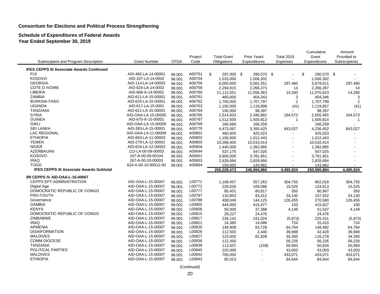#### **Schedule of Expenditures of Federal Awards Year Ended September 30, 2019**

|                                                  |                      |             |         |                    |              |                       | Cumulative       | Amount        |
|--------------------------------------------------|----------------------|-------------|---------|--------------------|--------------|-----------------------|------------------|---------------|
|                                                  |                      |             | Project | <b>Total Grant</b> | Prior Years' | <b>Total 2019</b>     | Grant            | Provided to   |
| Subrecipient and Program Description             | <b>Grant Number</b>  | <b>CFDA</b> | Code    | Obligations        | Expenditures | Expenses              | Expenditures     | Subrecipients |
| <b>IFES CEPPS III Associate Awards Continued</b> |                      |             |         |                    |              |                       |                  |               |
| FIJI                                             | AID-492-LA-14-00001  | 98.001      | A00751  | \$<br>297,000 \$   | 290,570 \$   | $\blacksquare$        | \$<br>290,570 \$ |               |
| KOSOVO                                           | AID-167-LA-14-0002   | 98.001      | A00754  | 1,015,000          | 1,006,302    |                       | 1,006,302        |               |
| <b>GEORGIA</b>                                   | AID-114-LA-14-00003  | 98.001      | A00756  | 6,000,000          | 5,581,551    | 297,460               | 5,879,011        | 297,460       |
| COTE D IVOIRE                                    | AID-624-LA-14-0002   | 98.001      | A00759  | 2,294,815          | 2,266,273    | 14                    | 2,266,287        | 14            |
| <b>LIBERIA</b>                                   | AID-669-A-14-00001   | 98.001      | A00760  | 11,112,551         | 11,056,363   | 14,260                | 11,070,623       | 14,260        |
| <b>ZAMBIA</b>                                    | AID-611-LA-15-00001  | 98.001      | A00761  | 460,000            | 404,343      | 3                     | 404,346          | 3             |
| <b>BURKINA FASO</b>                              | AID-625-LA-15-00001  | 98.001      | A00762  | 1,750,000          | 1,707,797    | $\overline{2}$        | 1,707,799        | 2             |
| <b>UGANDA</b>                                    | AID-617-LA-15-0001   | 98.001      | A00763  | 1,150,000          | 1,119,898    | (41)                  | 1,119,857        | (41)          |
| <b>TANZANIA</b>                                  | AID-621-LA-15-00001  | 98.001      | A00764  | 100,000            | 98,397       |                       | 98,397           |               |
| <b>SYRIA</b>                                     | AID-OAA-LA-15-00005  | 98.001      | A00765  | 2,514,833          | 2,340,882    | 164,573               | 2,505,455        | 164,573       |
| <b>GUINEA</b>                                    | AID-675-A-15-00001   | 98.001      | A00767  | 1,512,500          | 1,505,813    | $\mathbf{1}$          | 1,505,814        | $\mathbf{1}$  |
| <b>GWLI</b>                                      | AID-OAA-LA-15-00009  | 98.001      | A00769  | 166,666            | 166,259      | $\overline{a}$        | 166,259          |               |
| <b>SRI LANKA</b>                                 | AID-383-LA-15-00001  | 98.001      | A00770  | 4,473,067          | 3,393,425    | 843,027               | 4,236,452        | 843,027       |
| <b>LAC REGIONAL</b>                              | AID-OAA-LA-11-00009  | 98.001      | A00801  | 460,000            | 425,023      | $\sim$                | 425,023          |               |
| <b>ETHIOPIA</b>                                  | AID-663-LA-11-00003  | 98.001      | A00802  | 1,100,000          | 1,012,443    |                       | 1,012,443        |               |
| <b>YEMEN</b>                                     | AID-279-LA-12-00001  | 98.001      | A00803  | 10,268,405         | 10,010,414   | $\tilde{\phantom{a}}$ | 10,010,414       |               |
| <b>NIGER</b>                                     | AID-624-LA-12-00003  | 98.001      | A00804  | 1,440,000          | 1,392,885    | ä,                    | 1,392,885        |               |
| <b>AZERBAIJAN</b>                                | 112-LA-00-09-00002   | 98.001      | A00644  | 537,170            | 547,025      | $\overline{a}$        | 547,025          |               |
| <b>KOSOVO</b>                                    | 167-A-00-09-00104    | 98.001      | A00651  | 3,800,000          | 3,781,851    | ÷.                    | 3,781,851        |               |
| <b>IRAQ</b>                                      | 267-A-00-10-00003    | 98.001      | A00653  | 2,828,684          | 2,828,684    |                       | 2,828,684        |               |
| <b>TOGO</b>                                      | 624-A-00-10-00012-00 | 98.001      | A00664  | 150,000            | 143,962      |                       | 143,962          |               |
| <b>IFES CEPPS III Associate Awards Subtotal</b>  |                      |             |         | 255,229,473        | 246,084,960  | 4,495,924             | 250,580,884      | 4,495,924     |
| IRI CEPPS IV AID-OAA-L-15-00007                  |                      |             |         |                    |              |                       |                  |               |
| <b>CEPPS EPT-ADMINISTRATION</b>                  | AID-OAA-L-15-00007   | 98.001      | L00771  | 1,109,457          | 557,263      | 304,755               | 862,018          | 304,755       |
| Digital Age                                      | AID-OAA-L-15-00007   | 98.001      | L00772  | 229,026            | 109,088      | 15,525                | 124,613          | 15,525        |
| DOMOCRATIC REPUBLIC OF CONGO                     | AID-OAA-L-15-00007   | 98.001      | L00777  | 85,431             | 80,617       | 350                   | 80,967           | 350           |
| PRO-YOUTH                                        | AID-OAA-L-15-00007   | 98.001      | L00787  | 110.853            | 83,412       | 24,140                | 107,552          | 24,140        |
| Governance                                       | AID-OAA-L-15-00007   | 98.001      | L00788  | 408,049            | 144,125      | 126,455               | 270,580          | 126,455       |
| <b>GAMBIA</b>                                    | AID-OAA-L-15-00007   | 98.001      | L00805  | 444,000            | 415,477      | 150                   | 415,627          | 150           |
| <b>KENYA</b>                                     | AID-OAA-L-15-00007   | 98.001      | L00808  | 50,000             | 37,388       | 4,149                 | 41,537           | 4,149         |
| DOMOCRATIC REPUBLIC OF CONGO                     | AID-OAA-L-15-00007   | 98.001      | L00815  | 29,227             | 24,476       |                       | 24,476           |               |
| <b>ZIMBABWE</b>                                  | AID-OAA-L-15-00007   | 98.001      | L00817  | 234,142            | 231,024      | (5, 873)              | 225,151          | (5, 873)      |
| <b>IRAQ</b>                                      | AID-OAA-L-15-00007   | 98.001      | L00821  | 14,380             | 14,686       | 724                   | 15,410           | 724           |
| <b>ARMENIA</b>                                   | AID-OAA-L-15-00007   | 98.001      | L00820  | 149,908            | 83,728       | 64,764                | 148,492          | 64,764        |
| <b>DISINFORMATION</b>                            | AID-OAA-L-15-00007   | 98.001      | L00826  | 112,500            | 2,440        | 39,988                | 42,428           | 39,988        |
| <b>MALDIVES</b>                                  | AID-OAA-L-15-00007   | 98.001      | L00827  | 123,000            | 81,928       | 34,350                | 116,278          | 34,350        |
| <b>COMM DIOCESE</b>                              | AID-OAA-L-15-00007   | 98.001      | L00838  | 112,350            |              | 56,226                | 56,226           | 56,226        |
| <b>TANZANIA</b>                                  | AID-OAA-L-15-00007   | 98.001      | L00839  | 113,507            | (159)        | 50,993                | 50,834           | 50,993        |
| POLITICAL PARTIES                                | AID-OAA-L-15-00007   | 98.001      | L00840  | 220,000            |              | 43,003                | 43,003           | 43,003        |
| <b>MALDIVES</b>                                  | AID-OAA-L-15-00007   | 98.001      | L00842  | 700,000            | $\sim$       | 433,071               | 433,071          | 433,071       |
| <b>ETHIOPIA</b>                                  | AID-OAA-L-15-00007   | 98.001      | L00843  | 85,013             |              | 84,644                | 84,644           | 84,644        |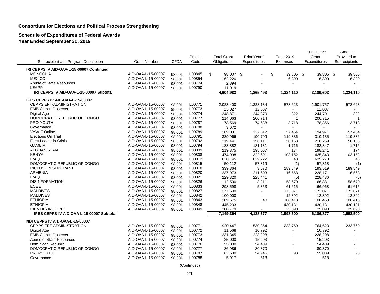#### **Schedule of Expenditures of Federal Awards Year Ended September 30, 2019**

|                                           |                                          |                  | Project          | <b>Total Grant</b> | Prior Years'      | <b>Total 2019</b> | Cumulative<br>Grant | Amount<br>Provided to |
|-------------------------------------------|------------------------------------------|------------------|------------------|--------------------|-------------------|-------------------|---------------------|-----------------------|
| Subrecipient and Program Description      | <b>Grant Number</b>                      | <b>CFDA</b>      | Code             | Obligations        | Expenditures      | Expenses          | Expenditures        | Subrecipients         |
| IRI CEPPS IV AID-OAA-L-15-00007 Continued |                                          |                  |                  |                    |                   |                   |                     |                       |
| <b>MONGOLIA</b>                           | AID-OAA-L-15-00007                       | 98.001           | L00845           | \$<br>98,007 \$    |                   | \$<br>39,806 \$   | 39,806 \$           | 39,806                |
| <b>MEXICO</b>                             | AID-OAA-L-15-00007                       | 98.001           | L00854           | 162,220            | $\blacksquare$    | 6,890             | 6,890               | 6,890                 |
| Abuse of State Resources                  | AID-OAA-L-15-00007                       | 98.001           | L00774           | 2,894              |                   |                   |                     |                       |
| LEAPP                                     | AID-OAA-L-15-00007                       | 98.001           | L00790           | 11,019             | $\blacksquare$    |                   |                     | $\sim$                |
| IRI CEPPS IV AID-OAA-L-15-00007 Subtotal  |                                          |                  |                  | 4,604,983          | 1,865,493         | 1,324,110         | 3,189,603           | 1,324,110             |
| IFES CEPPS IV AID-OAA-L-15-00007          |                                          |                  |                  |                    |                   |                   |                     |                       |
| <b>CEPPS EPT-ADMINISTRATION</b>           | AID-OAA-L-15-00007                       | 98.001           | L00771           | 2,023,400          | 1,323,134         | 578,623           | 1,901,757           | 578,623               |
| <b>EMB Citizen Observer</b>               | AID-OAA-L-15-00007                       | 98.001           | L00773           | 23,027             | 12,837            |                   | 12,837              |                       |
| Digital Age                               | AID-OAA-L-15-00007                       | 98.001           | L00774           | 248,871            | 244,379           | 322               | 244,701             | 322                   |
| DOMOCRATIC REPUBLIC OF CONGO              | AID-OAA-L-15-00007                       | 98.001           | L00777           | 214,063            | 200,714           | $\mathbf{1}$      | 200,715             | -1                    |
| PRO-YOUTH                                 | AID-OAA-L-15-00007                       | 98.001           | L00787           | 78,569             | 74,638            | 3,718             | 78,356              | 3,718                 |
| Governance                                | AID-OAA-L-15-00007                       | 98.001           | L00788           | 3,672              |                   |                   |                     |                       |
| <b>VAWIE Online</b>                       | AID-OAA-L-15-00007                       | 98.001           | L00789           | 189,031            | 137,517           | 57,454            | 194,971             | 57,454                |
| <b>Elections On Trial</b>                 | AID-OAA-L-15-00007                       | 98.001           | L00791           | 339,966            | 190,799           | 119,336           | 310,135             | 119,336               |
| Elect Leader in Crisis                    | AID-OAA-L-15-00007                       | 98.001           | L00792           | 219,441            | 158,111           | 58,158            | 216,269             | 58,158                |
| <b>GAMBIA</b><br><b>AFGHANISTAN</b>       | AID-OAA-L-15-00007                       | 98.001           | L00794           | 183,882            | 181,131           | 1,716             | 182,847             | 1,716                 |
| <b>KENYA</b>                              | AID-OAA-L-15-00007                       | 98.001           | L00809           | 219,375            | 198,067           | 174               | 198,241             | 174                   |
| <b>IRAQ</b>                               | AID-OAA-L-15-00007<br>AID-OAA-L-15-00007 | 98.001           | L00808<br>L00812 | 474,998            | 322,691           | 103,152           | 425,843             | 103,152               |
| DOMOCRATIC REPUBLIC OF CONGO              | AID-OAA-L-15-00007                       | 98.001<br>98.001 | L00815           | 630,145<br>50,112  | 629,222<br>57,819 | 48<br>(1)         | 629,270<br>57,818   | 48<br>(1)             |
| <b>INCLUSION SUBGRANT</b>                 | AID-OAA-L-15-00007                       | 98.001           | L00818           | 339,364            | 3,670             | 189,849           | 193,519             | 189,849               |
| <b>ARMENIA</b>                            | AID-OAA-L-15-00007                       | 98.001           | L00820           | 237,973            | 211,603           | 16,568            | 228,171             | 16,568                |
| <b>IRAQ</b>                               | AID-OAA-L-15-00007                       | 98.001           | L00821           | 229,320            | 228,441           | (5)               | 228,436             | (5)                   |
| <b>DISINFORMATION</b>                     | AID-OAA-L-15-00007                       | 98.001           | L00826           | 112,500            | 8,211             | 58,670            | 66,881              | 58,670                |
| ECEE                                      | AID-OAA-L-15-00007                       | 98.001           | L00833           | 298,598            | 5,353             | 61,615            | 66,968              | 61,615                |
| <b>MALDIVES</b>                           | AID-OAA-L-15-00007                       | 98.001           | L00827           | 177,500            | $\blacksquare$    | 173,071           | 173,071             | 173,071               |
| <b>MALDIVES</b>                           | AID-OAA-L-15-00007                       | 98.001           | L00842           | 100,000            | $\overline{a}$    | 12,392            | 12,392              | 12,392                |
| <b>ETHIOPIA</b>                           | AID-OAA-L-15-00007                       | 98.001           | L00843           | 109,575            | 40                | 108,418           | 108,458             | 108,418               |
| <b>ETHIOPIA</b>                           | AID-OAA-L-15-00007                       | 98.001           | L00848           | 445,203            |                   | 430,131           | 430,131             | 430,131               |
| <b>IDENTIFYING EPPI</b>                   | AID-OAA-L-15-00007                       | 98.001           | L00849           | 200,779            | $\overline{a}$    | 25,090            | 25,090              | 25,090                |
| IFES CEPPS IV AID-OAA-L-15-00007 Subtotal |                                          |                  |                  | 7,149,364          | 4,188,377         | 1,998,500         | 6,186,877           | 1,998,500             |
| NDI CEPPS IV AID-OAA-L-15-00007           |                                          |                  |                  |                    |                   |                   |                     |                       |
| CEPPS EPT-ADMINISTRATION                  | AID-OAA-L-15-00007                       | 98.001           | L00771           | 920,447            | 530,854           | 233,769           | 764,623             | 233,769               |
| Digital Age                               | AID-OAA-L-15-00007                       | 98.001           | L00772           | 11,568             | 10,792            |                   | 10,792              |                       |
| <b>EMB Citizen Observer</b>               | AID-OAA-L-15-00007                       | 98.001           | L00773           | 231,345            | 228,298           |                   | 228,298             |                       |
| Abuse of State Resources                  | AID-OAA-L-15-00007                       | 98.001           | L00774           | 25,000             | 15,203            |                   | 15,203              |                       |
| Dominican Republic                        | AID-OAA-L-15-00007                       | 98.001           | L00776           | 55,000             | 54,409            |                   | 54,409              |                       |
| DOMOCRATIC REPUBLIC OF CONGO              | AID-OAA-L-15-00007                       | 98.001           | L00777           | 86,986             | 80,370            |                   | 80,370              |                       |
| PRO-YOUTH                                 | AID-OAA-L-15-00007                       | 98.001           | L00787           | 62,600             | 54,946            | 93                | 55,039              | 93                    |
| Governance                                | AID-OAA-L-15-00007                       | 98.001           | L00788           | 5,917              | 518               |                   | 518                 |                       |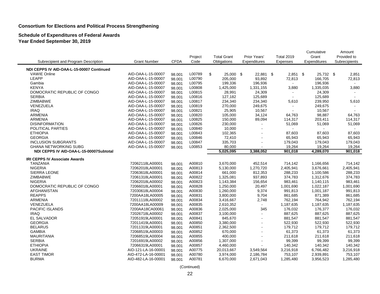**Schedule of Expenditures of Federal Awards Year Ended September 30, 2019**

|                                           |                     |             |         |                    |                |                   | Cumulative   | Amount        |
|-------------------------------------------|---------------------|-------------|---------|--------------------|----------------|-------------------|--------------|---------------|
|                                           |                     |             | Project | <b>Total Grant</b> | Prior Years'   | <b>Total 2019</b> | Grant        | Provided to   |
| Subrecipient and Program Description      | <b>Grant Number</b> | <b>CFDA</b> | Code    | Obligations        | Expenditures   | Expenses          | Expenditures | Subrecipients |
| NDI CEPPS IV AID-OAA-L-15-00007 Continued |                     |             |         |                    |                |                   |              |               |
| <b>VAWIE Online</b>                       | AID-OAA-L-15-00007  | 98.001      | L00789  | \$<br>25,000 \$    | 22,881 \$      | $2,851$ \$        | 25,732 \$    | 2,851         |
| LEAPP                                     | AID-OAA-L-15-00007  | 98.001      | L00790  | 205,000            | 93,892         | 72,813            | 166,705      | 72,813        |
| Gambia                                    | AID-OAA-L-15-00007  | 98.001      | L00795  | 199,336            | 196,936        | $\sim$            | 196,936      |               |
| <b>KENYA</b>                              | AID-OAA-L-15-00007  | 98.001      | L00808  | 1,425,000          | 1,331,155      | 3,880             | 1,335,035    | 3,880         |
| DOMOCRATIC REPUBLIC OF CONGO              | AID-OAA-L-15-00007  | 98.001      | L00815  | 28,991             | 24,309         |                   | 24,309       |               |
| <b>SERBIA</b>                             | AID-OAA-L-15-00007  | 98.001      | L00816  | 127,182            | 125,689        | $\sim$            | 125,689      | $\sim$        |
| <b>ZIMBABWE</b>                           | AID-OAA-L-15-00007  | 98.001      | L00817  | 234,340            | 234,340        | 5,610             | 239,950      | 5,610         |
| VENEZUELA                                 | AID-OAA-L-15-00007  | 98.001      | L00819  | 270,000            | 249,675        |                   | 249,675      |               |
| <b>IRAQ</b>                               | AID-OAA-L-15-00007  | 98.001      | L00821  | 25,905             | 10,567         |                   | 10,567       |               |
| <b>ARMENIA</b>                            | AID-OAA-L-15-00007  | 98.001      | L00820  | 105,000            | 34,124         | 64,763            | 98,887       | 64,763        |
| <b>ARMENIA</b>                            | AID-OAA-L-15-00007  | 98.001      | L00825  | 150,000            | 89,094         | 114,317           | 203,411      | 114,317       |
| <b>DISINFORMATION</b>                     | AID-OAA-L-15-00007  | 98.001      | L00826  | 230,000            |                | 51,069            | 51,069       | 51,069        |
| POLITICAL PARTIES                         | AID-OAA-L-15-00007  | 98.001      | L00840  | 10,000             | $\mathbf{r}$   |                   |              |               |
| <b>ETHIOPIA</b>                           | AID-OAA-L-15-00007  | 98.001      | L00843  | 102,365            |                | 87,603            | 87,603       | 87,603        |
| <b>GEORGIA</b>                            | AID-OAA-L-15-00007  | 98.001      | L00846  | 72,410             |                | 65,943            | 65,943       | 65,943        |
| <b>INCLUSION SUBGRANTS</b>                | AID-OAA-L-15-00007  | 98.001      | L00847  | 335,703            |                | 179,043           | 179,043      | 179,043       |
| <b>GHANA NETWORKING SUBG</b>              | AID-OAA-L-15-00007  | 98.001      | L00853  | 80,000             |                | 19,264            | 19,264       | 19,264        |
| NDI CEPPS IV AID-OAA-L-15-00007Subtotal   |                     |             |         | 5,025,095          | 3,388,052      | 901,018           | 4,289,070    | 901,018       |
| <b>IRI CEPPS IV Associate Awards</b>      |                     |             |         |                    |                |                   |              |               |
| <b>TANZANIA</b>                           | 72062118LA00001     | 98.001      | A00810  | 3,670,000          | 452,514        | 714,142           | 1,166,656    | 714,142       |
| <b>NIGERIA</b>                            | 72062018LA00001     | 98.001      | A00813  | 5,130,000          | 1,270,720      | 2,405,941         | 3,676,661    | 2,405,941     |
| <b>SIERRA LEONE</b>                       | 72063618LA00001     | 98.001      | A00814  | 661,000            | 812,353        | 288,233           | 1,100,586    | 288,233       |
| ZIMBABWE                                  | 72061318LA00001     | 98.001      | A00822  | 1,325,081          | 937,893        | 374,783           | 1,312,676    | 374,783       |
| <b>NIGERIA</b>                            | 72062018LA00002     | 98.001      | A00823  | 1,143,384          | 156,654        | 983,461           | 1,140,115    | 983,461       |
| DOMOCRATIC REPUBLIC OF CONGO              | 72066018LA00001     | 98.001      | A00828  | 1,250,000          | 20,497         | 1,001,690         | 1,022,187    | 1,001,690     |
| <b>AFGHANISTAN</b>                        | 72030618LA00004     | 98.001      | A00830  | 1,260,000          | 9,374          | 991,813           | 1,001,187    | 991,813       |
| <b>REAPPS</b>                             | 7200AA18LA00005     | 98.001      | A00831  | 3,800,000          | 9,704          | 861,685           | 871,389      | 861,685       |
| <b>ARMENIA</b>                            | 72011118LA00002     | 98.001      | A00834  | 3,416,667          | 2,748          | 762,194           | 764,942      | 762,194       |
| VENEZUELA                                 | 7200AA18LA00009     | 98.001      | A00835  | 2,610,352          | $\sim$         | 1,187,635         | 1,187,635    | 1,187,635     |
| PACIFIC ISLANDS                           | 7200AA18CA00061     | 98.001      | A00836  | 2,025,000          | 345            | 176,032           | 176,377      | 176,032       |
| <b>IRAQ</b>                               | 72026718LA00002     | 98.001      | A00837  | 3,100,000          | $\blacksquare$ | 887,625           | 887,625      | 887,625       |
| EL SALVADOR                               | 72051919LA00001     | 98.001      | A00841  | 845,670            | $\blacksquare$ | 881,547           | 881,547      | 881,547       |
| <b>GEORGIA</b>                            | 72011419LA00001     | 98.001      | A00850  | 3,380,000          |                | 522,930           | 522,930      | 522,930       |
| <b>BELARUS</b>                            | 72011319LA00001     | 98.001      | A00851  | 2,362,500          | $\blacksquare$ | 179,712           | 179,712      | 179,712       |
| <b>GAMBIA</b>                             | 72068519LA00003     | 98.001      | A00852  | 670,000            | $\overline{a}$ | 61,373            | 61,373       | 61,373        |
| <b>MAURITANIA</b>                         | 72068519LA00004     | 98.001      | A00855  | 400,000            |                | 211,618           | 211,618      | 211,618       |
| <b>SERBIA</b>                             | 72016919LA00002     | 98.001      | A00856  | 1,307,000          | $\sim$         | 99,399            | 99,399       | 99,399        |
| <b>ETHIOPIA</b>                           | 72066319LA00001     | 98.001      | A00857  | 4,460,000          |                | 140,342           | 140,342      | 140,342       |
| <b>UKRAINE</b>                            | AID-121-LA-16-00001 | 98.001      | A00775  | 20,013,667         | 3,549,564      | 3,216,918         | 6,766,482    | 3,216,918     |
| <b>EAST TIMOR</b>                         | AID-472-LA-16-00001 | 98.001      | A00780  | 3,974,000          | 2,186,784      | 753,107           | 2,939,891    | 753,107       |
| <b>BURMA</b>                              | AID-482-LA-16-00001 | 98.001      | A00781  | 6,670,000          | 2,671,043      | 1,285,480         | 3,956,523    | 1,285,480     |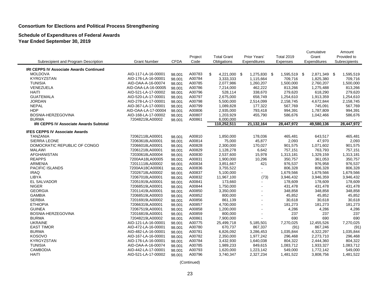#### **Schedule of Expenditures of Federal Awards Year Ended September 30, 2019**

|                                                |                     |             |         |                    |                |                   | Cumulative   | Amount        |
|------------------------------------------------|---------------------|-------------|---------|--------------------|----------------|-------------------|--------------|---------------|
|                                                |                     |             | Project | <b>Total Grant</b> | Prior Years'   | <b>Total 2019</b> | Grant        | Provided to   |
| Subrecipient and Program Description           | <b>Grant Number</b> | <b>CFDA</b> | Code    | Obligations        | Expenditures   | Expenses          | Expenditures | Subrecipients |
| <b>IRI CEPPS IV Associate Awards Continued</b> |                     |             |         |                    |                |                   |              |               |
| <b>MOLDOVA</b>                                 | AID-117-LA-16-00001 | 98.001      | A00783  | \$<br>4,221,000 \$ | 1,275,830 \$   | 1,595,519 \$      | 2,871,349 \$ | 1,595,519     |
| <b>KYRGYZSTAN</b>                              | AID-176-LA-16-00001 | 98.001      | A00784  | 3,333,333          | 1,115,664      | 709,716           | 1,825,380    | 709,716       |
| <b>TUNISIA</b>                                 | AID-OAA-A-16-00074  | 98.001      | A00785  | 2,077,986          | 1,260,207      | 1,500,000         | 2,760,207    | 1,500,000     |
| VENEZUELA                                      | AID-OAA-LA-16-00005 | 98.001      | A00786  | 7,214,000          | 462,222        | 813,266           | 1,275,488    | 813,266       |
| <b>HAITI</b>                                   | AID-521-LA-17-00002 | 98.001      | A00796  | 528,114            | 338,670        | 279,620           | 618,290      | 279,620       |
| <b>GUATEMALA</b>                               | AID-520-LA-17-00001 | 98.001      | A00797  | 2,675,000          | 658,749        | 1,254,610         | 1,913,359    | 1,254,610     |
| <b>JORDAN</b>                                  | AID-278-LA-17-00001 | 98.001      | A00798  | 5,500,000          | 2,514,099      | 2,158,745         | 4,672,844    | 2,158,745     |
| <b>NEPAL</b>                                   | AID-367-LA-17-00001 | 98.001      | A00799  | 1,089,828          | 177,322        | 567,769           | 745,091      | 567,769       |
| <b>HDP</b>                                     | AID-OAA-LA-17-00004 | 98.001      | A00806  | 2,935,000          | 793,418        | 994,391           | 1,787,809    | 994,391       |
| BOSNIA-HERZEGOVINA                             | AID-168-LA-17-00002 | 98.001      | A00807  | 1,203,929          | 455,790        | 586,676           | 1,042,466    | 586,676       |
| <b>BURMA</b>                                   | 72048219LA00002     | 98.001      | A00861  | 6,000,000          |                |                   |              |               |
| <b>IRI CEPPS IV Associate Awards Subtotal</b>  |                     |             |         | 110,252,511        | 21,132,164     | 28,447,972        | 49,580,136   | 28,447,972    |
| <b>IFES CEPPS IV Associate Awards</b>          |                     |             |         |                    |                |                   |              |               |
| <b>TANZANIA</b>                                | 72062118LA00001     | 98.001      | A00810  | 1,850,000          | 178,036        | 465,481           | 643,517      | 465,481       |
| <b>SIERRA LEONE</b>                            | 72063618LA00001     | 98.001      | A00814  | 75,000             | 45,877         | 2,093             | 47,970       | 2,093         |
| DOMOCRATIC REPUBLIC OF CONGO                   | 72066018LA00001     | 98.001      | A00828  | 2,300,000          | 170,027        | 901,575           | 1,071,602    | 901,575       |
| <b>MALAWI</b>                                  | 72061218LA00001     | 98.001      | A00829  | 1,128,278          | 6,642          | 757,151           | 763,793      | 757,151       |
| AFGHANISTAN                                    | 72030618LA00004     | 98.001      | A00830  | 2,537,600          | 15,978         | 1,313,181         | 1,329,159    | 1,313,181     |
| <b>REAPPS</b>                                  | 7200AA18LA00005     | 98.001      | A00831  | 1,900,000          | 10,296         | 350,757           | 361,053      | 350,757       |
| <b>ARMENIA</b>                                 | 72011118LA00002     | 98.001      | A00834  | 3,851,667          | 421            | 976,537           | 976,958      | 976,537       |
| PACIFIC ISLANDS                                | 7200AA18CA00061     | 98.001      | A00836  | 3,755,522          | $\blacksquare$ | 806,328           | 806,328      | 806,328       |
| <b>IRAQ</b>                                    | 72026718LA00002     | 98.001      | A00837  | 5,100,000          | $\blacksquare$ | 1,679,566         | 1,679,566    | 1,679,566     |
| LIBYA                                          | 72067018LA00001     | 98.001      | A00832  | 11,967,100         | (73)           | 3,946,432         | 3,946,359    | 3,946,432     |
| <b>EL SALVADOR</b>                             | 72051919LA00001     | 98.001      | A00841  | 173,660            | ÷.             | 178,609           | 178,609      | 178,609       |
| <b>NIGER</b>                                   | 72068519LA00001     | 98.001      | A00844  | 1,750,000          | $\overline{a}$ | 431,478           | 431,478      | 431,478       |
| <b>GEORGIA</b>                                 | 72011419LA00001     | 98.001      | A00850  | 3,350,000          | $\overline{a}$ | 348,858           | 348,858      | 348,858       |
| <b>GAMBIA</b>                                  | 72068519LA00003     | 98.001      | A00852  | 800,000            | ÷.             | 45,852            | 45,852       | 45,852        |
| <b>SERBIA</b>                                  | 72016919LA00002     | 98.001      | A00856  | 861,139            |                | 30,618            | 30,618       | 30,618        |
| <b>ETHIOPIA</b>                                | 72066319LA00001     | 98.001      | A00857  | 4,700,000          | $\overline{a}$ | 181,273           | 181,273      | 181,273       |
| <b>GUINEA</b>                                  | 72067519LA00001     | 98.001      | A00858  | 1,200,000          | L.             | 4,286             | 4,286        | 4,286         |
| BOSNIA-HERZEGOVINA                             | 72016819LA00001     | 98.001      | A00859  | 800,000            | L.             | 237               | 237          | 237           |
| <b>BURMA</b>                                   | 72048219LA00002     | 98.001      | A00861  | 7,900,000          | L.             | 690               | 690          | 690           |
| <b>UKRAINE</b>                                 | AID-121-LA-16-00001 | 98.001      | A00775  | 25,499,718         | 5,185,501      | 7,270,025         | 12,455,526   | 7,270,025     |
| <b>EAST TIMOR</b>                              | AID-472-LA-16-00001 | 98.001      | A00780  | 670,737            | 867,337        | (91)              | 867,246      | (91)          |
| <b>BURMA</b>                                   | AID-482-LA-16-00001 | 98.001      | A00781  | 6,826,092          | 3,286,453      | 1,035,844         | 4,322,297    | 1,035,844     |
| <b>KOSOVO</b>                                  | AID-167-LA-16-00001 | 98.001      | A00782  | 2,350,000          | 1,977,242      | 296,468           | 2,273,710    | 296,468       |
| <b>KYRGYZSTAN</b>                              | AID-176-LA-16-00001 | 98.001      | A00784  | 3,432,930          | 1,640,038      | 804,322           | 2,444,360    | 804,322       |
| <b>TUNISIA</b>                                 | AID-OAA-A-16-00074  | 98.001      | A00785  | 1,989,233          | 849,615        | 1,083,712         | 1,933,327    | 1,083,712     |
| <b>CAMBODIA</b>                                | AID-442-LA-17-00001 | 98.001      | A00793  | 1,620,000          | 1,223,142      | 549,000           | 1,772,142    | 549,000       |
| <b>HAITI</b>                                   | AID-521-LA-17-00002 | 98.001      | A00796  | 3,740,347          | 2,327,234      | 1,481,522         | 3,808,756    | 1,481,522     |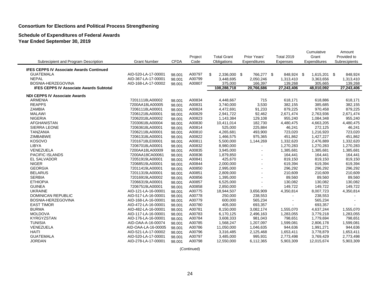#### **Schedule of Expenditures of Federal Awards Year Ended September 30, 2019**

|                                                 |                     |             | Project | <b>Total Grant</b> | Prior Years' |          | <b>Total 2019</b> |              | Cumulative<br>Grant | Amount<br>Provided to |
|-------------------------------------------------|---------------------|-------------|---------|--------------------|--------------|----------|-------------------|--------------|---------------------|-----------------------|
| Subrecipient and Program Description            | <b>Grant Number</b> | <b>CFDA</b> | Code    | Obligations        | Expenditures | Expenses |                   | Expenditures |                     | Subrecipients         |
| <b>IFES CEPPS IV Associate Awards Continued</b> |                     |             |         |                    |              |          |                   |              |                     |                       |
| <b>GUATEMALA</b>                                | AID-520-LA-17-00001 | 98.001      | A00797  | \$<br>2,336,000 \$ | 766,277 \$   |          | 848,924 \$        |              | 1,615,201 \$        | 848,924               |
| <b>NEPAL</b>                                    | AID-367-LA-17-00001 | 98.001      | A00799  | 3,448,695          | 2,050,246    |          | 1,313,410         |              | 3,363,656           | 1,313,410             |
| BOSNIA-HERZEGOVINA                              | AID-168-LA-17-00002 | 98.001      | A00807  | 375,000            | 166.397      |          | 139,268           |              | 305,665             | 139,268               |
| <b>IFES CEPPS IV Associate Awards Subtotal</b>  |                     |             |         | 108,288,718        | 20,766,686   |          | 27,243,406        |              | 48,010,092          | 27,243,406            |
| <b>NDI CEPPS IV Associate Awards</b>            |                     |             |         |                    |              |          |                   |              |                     |                       |
| <b>ARMENIA</b>                                  | 72011118LA00002     | 98.001      | A00834  | 4,448,667          | 715          |          | 618,171           |              | 618,886             | 618,171               |
| <b>REAPPS</b>                                   | 7200AA18LA00005     | 98.001      | A00831  | 3,740,000          | 3,530        |          | 382,155           |              | 385,685             | 382,155               |
| <b>ZAMBIA</b>                                   | 72061118LA00001     | 98.001      | A00824  | 4,472,691          | 91,233       |          | 879,225           |              | 970,458             | 879,225               |
| <b>MALAWI</b>                                   | 72061218LA00001     | 98.001      | A00829  | 2,941,722          | 92,462       |          | 2,671,474         |              | 2,763,936           | 2,671,474             |
| <b>NIGERIA</b>                                  | 72062018LA00002     | 98.001      | A00823  | 1,143,384          | 129,108      |          | 955,240           |              | 1,084,348           | 955,240               |
| AFGHANISTAN                                     | 72030618LA00004     | 98.001      | A00830  | 10,411,014         | 182,730      |          | 4,480,475         |              | 4,663,205           | 4,480,475             |
| SIERRA LEONE                                    | 72063618LA00001     | 98.001      | A00814  | 525,000            | 225,884      |          | 46,241            |              | 272,125             | 46,241                |
| <b>TANZANIA</b>                                 | 72062118LA00001     | 98.001      | A00810  | 4,265,681          | 493,900      |          | 723,020           |              | 1,216,920           | 723,020               |
| <b>ZIMBABWE</b>                                 | 72061318LA00001     | 98.001      | A00822  | 1,466,575          | 975,365      |          | 451,862           |              | 1,427,227           | 451,862               |
| <b>KOSOVO</b>                                   | 72016718LE00001     | 98.001      | A00811  | 5,500,000          | 1,144,269    |          | 1,332,620         |              | 2,476,889           | 1,332,620             |
| LIBYA                                           | 72067018LA00001     | 98.001      | A00832  | 8,980,000          |              |          | 1,270,283         |              | 1,270,283           | 1,270,283             |
| VENEZUELA                                       | 7200AA18LA00009     | 98.001      | A00835  | 3,945,000          |              |          | 1,385,681         |              | 1,385,681           | 1,385,681             |
| <b>PACIFIC ISLANDS</b>                          | 7200AA18CA00061     | 98.001      | A00836  | 1,879,850          |              |          | 164,441           |              | 164,441             | 164,441               |
| <b>EL SALVADOR</b>                              | 72051919LA00001     | 98.001      | A00841  | 425,670            |              |          | 819,150           |              | 819,150             | 819,150               |
| <b>NIGER</b>                                    | 72068519LA00001     | 98.001      | A00844  | 2,000,000          |              |          | 619,394           |              | 619,394             | 619,394               |
| <b>GEORGIA</b>                                  | 72011419LA00001     | 98.001      | A00850  | 2,995,000          |              |          | 296,292           |              | 296,292             | 296,292               |
| <b>BELARUS</b>                                  | 72011319LA00001     | 98.001      | A00851  | 2,809,000          |              |          | 210,609           |              | 210,609             | 210,609               |
| <b>SERBIA</b>                                   | 72016919LA00002     | 98.001      | A00856  | 1,395,000          |              |          | 89,560            |              | 89,560              | 89,560                |
| <b>ETHIOPIA</b>                                 | 72066319LA00001     | 98.001      | A00857  | 6,525,000          |              |          | 130,082           |              | 130,082             | 130,082               |
| <b>GUINEA</b>                                   | 72067519LA00001     | 98.001      | A00858  | 2,850,000          |              |          | 149,722           |              | 149,722             | 149,722               |
| <b>UKRAINE</b>                                  | AID-121-LA-16-00001 | 98.001      | A00775  | 18,944,507         | 3,656,909    |          | 4,350,814         |              | 8,007,723           | 4,350,814             |
| <b>DOMINICAN REPUBLIC</b>                       | AID-517-LA-16-00001 | 98.001      | A00778  | 250,000            | 238,553      |          |                   |              | 238,553             |                       |
| BOSNIA-HERZEGOVINA                              | AID-168-LA-16-00001 | 98.001      | A00779  | 600,000            | 565,234      |          |                   |              | 565,234             |                       |
| <b>EAST TIMOR</b>                               | AID-472-LA-16-00001 | 98.001      | A00780  | 405,000            | 693,357      |          |                   |              | 693,357             |                       |
| <b>BURMA</b>                                    | AID-482-LA-16-00001 | 98.001      | A00781  | 8,150,000          | 3,082,174    |          | 1,555,070         |              | 4,637,244           | 1,555,070             |
| <b>MOLDOVA</b>                                  | AID-117-LA-16-00001 | 98.001      | A00783  | 6,170,125          | 2,496,163    |          | 1,283,055         |              | 3,779,218           | 1,283,055             |
| <b>KYRGYZSTAN</b>                               | AID-176-LA-16-00001 | 98.001      | A00784  | 3,608,333          | 981,043      |          | 798,651           |              | 1,779,694           | 798,651               |
| <b>TUNISIA</b>                                  | AID-OAA-A-16-00074  | 98.001      | A00785  | 1,568,247          | 1,207,097    |          | 1,599,081         |              | 2,806,178           | 1,599,081             |
| VENEZUELA                                       | AID-OAA-LA-16-00005 | 98.001      | A00786  | 11,050,000         | 1,046,635    |          | 944,636           |              | 1,991,271           | 944,636               |
| <b>HAITI</b>                                    | AID-521-LA-17-00002 | 98.001      | A00796  | 3,316,485          | 2,125,468    |          | 1,653,411         |              | 3,778,879           | 1,653,411             |
| <b>GUATEMALA</b>                                | AID-520-LA-17-00001 | 98.001      | A00797  | 3,485,000          | 995,931      |          | 2,773,498         |              | 3,769,429           | 2,773,498             |
| <b>JORDAN</b>                                   | AID-278-LA-17-00001 | 98.001      | A00798  | 12,550,000         | 6,112,365    |          | 5,903,309         |              | 12,015,674          | 5,903,309             |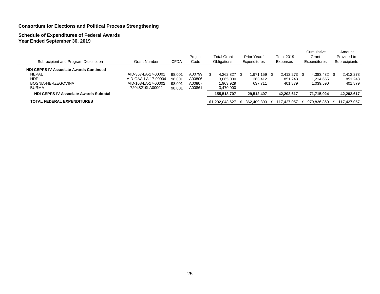## **Schedule of Expenditures of Federal Awards Year Ended September 30, 2019**

| Subrecipient and Program Description                                                                        | <b>Grant Number</b>                                                                  | CFDA                                 | Project<br>Code                      | <b>Total Grant</b><br>Obligations                   | Prior Years'<br>Expenditures    | <b>Total 2019</b><br><b>Expenses</b>    | Cumulative<br>Grant<br>Expenditures                                | Amount<br>Provided to<br>Subrecipients |
|-------------------------------------------------------------------------------------------------------------|--------------------------------------------------------------------------------------|--------------------------------------|--------------------------------------|-----------------------------------------------------|---------------------------------|-----------------------------------------|--------------------------------------------------------------------|----------------------------------------|
| NDI CEPPS IV Associate Awards Continued<br><b>NEPAL</b><br><b>HDP</b><br>BOSNIA-HERZEGOVINA<br><b>BURMA</b> | AID-367-LA-17-00001<br>AID-OAA-LA-17-00004<br>AID-168-LA-17-00002<br>72048219LA00002 | 98.001<br>98.001<br>98.001<br>98.001 | A00799<br>A00806<br>A00807<br>A00861 | 4.262.827 \$<br>3.065.000<br>1,903,929<br>3,470,000 | 1.971.159<br>363.412<br>637.711 | 2,412,273<br>- SS<br>851,243<br>401,879 | 4,383,432 \$<br>1.214.655<br>1,039,590<br>$\overline{\phantom{a}}$ | 2,412,273<br>851.243<br>401,879        |
| <b>NDI CEPPS IV Associate Awards Subtotal</b>                                                               |                                                                                      |                                      |                                      | 155,518,707                                         | 29,512,407                      | 42,202,617                              | 71,715,024                                                         | 42,202,617                             |
| TOTAL FEDERAL EXPENDITURES                                                                                  |                                                                                      |                                      |                                      | \$1,202,048,627                                     | 862.409.803                     | 117.427.057                             | 979.836.860                                                        | \$117.427.057                          |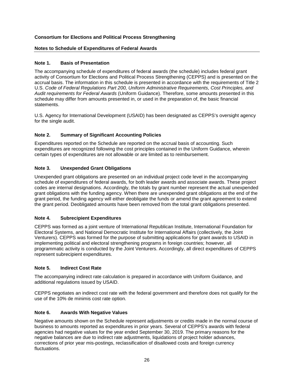## **Notes to Schedule of Expenditures of Federal Awards**

## **Note 1. Basis of Presentation**

The accompanying schedule of expenditures of federal awards (the schedule) includes federal grant activity of Consortium for Elections and Political Process Strengthening (CEPPS) and is presented on the accrual basis. The information in this schedule is presented in accordance with the requirements of Title 2 U.S. *Code of Federal Regulations Part 200, Uniform Administrative Requirements, Cost Principles, and Audit requirements for Federal Awards* (Uniform Guidance). Therefore, some amounts presented in this schedule may differ from amounts presented in, or used in the preparation of, the basic financial statements.

U.S. Agency for International Development (USAID) has been designated as CEPPS's oversight agency for the single audit.

## **Note 2. Summary of Significant Accounting Policies**

Expenditures reported on the Schedule are reported on the accrual basis of accounting. Such expenditures are recognized following the cost principles contained in the Uniform Guidance, wherein certain types of expenditures are not allowable or are limited as to reimbursement.

## **Note 3. Unexpended Grant Obligations**

Unexpended grant obligations are presented on an individual project code level in the accompanying schedule of expenditures of federal awards, for both leader awards and associate awards. These project codes are internal designations. Accordingly, the totals by grant number represent the actual unexpended grant obligations with the funding agency. When there are unexpended grant obligations at the end of the grant period, the funding agency will either deobligate the funds or amend the grant agreement to extend the grant period. Deobligated amounts have been removed from the total grant obligations presented.

## **Note 4. Subrecipient Expenditures**

CEPPS was formed as a joint venture of International Republican Institute, International Foundation for Electoral Systems, and National Democratic Institute for International Affairs (collectively, the Joint Venturers). CEPPS was formed for the purpose of submitting applications for grant awards to USAID in implementing political and electoral strengthening programs in foreign countries; however, all programmatic activity is conducted by the Joint Venturers. Accordingly, all direct expenditures of CEPPS represent subrecipient expenditures.

## **Note 5. Indirect Cost Rate**

The accompanying indirect rate calculation is prepared in accordance with Uniform Guidance, and additional regulations issued by USAID.

CEPPS negotiates an indirect cost rate with the federal government and therefore does not qualify for the use of the 10% de minimis cost rate option.

#### **Note 6. Awards With Negative Values**

Negative amounts shown on the Schedule represent adjustments or credits made in the normal course of business to amounts reported as expenditures in prior years. Several of CEPPS's awards with federal agencies had negative values for the year ended September 30, 2019. The primary reasons for the negative balances are due to indirect rate adjustments, liquidations of project holder advances, corrections of prior year mis-postings, reclassification of disallowed costs and foreign currency fluctuations.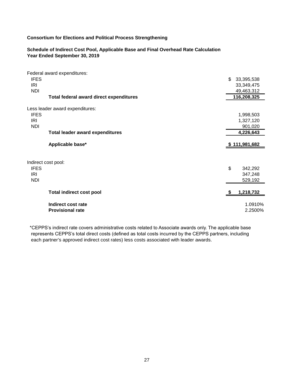#### **Schedule of Indirect Cost Pool, Applicable Base and Final Overhead Rate Calculation Year Ended September 30, 2019**

|             | Federal award expenditures:             |                  |
|-------------|-----------------------------------------|------------------|
| <b>IFES</b> |                                         | \$<br>33,395,538 |
| IRI         |                                         | 33,349,475       |
| <b>NDI</b>  |                                         | 49,463,312       |
|             | Total federal award direct expenditures | 116,208,325      |
|             |                                         |                  |
|             | Less leader award expenditures:         |                  |
| <b>IFES</b> |                                         | 1,998,503        |
| IRI         |                                         | 1,327,120        |
| <b>NDI</b>  |                                         | 901,020          |
|             | <b>Total leader award expenditures</b>  | 4,226,643        |
|             | Applicable base*                        | \$111,981,682    |
|             |                                         |                  |
|             | Indirect cost pool:                     |                  |
| <b>IFES</b> |                                         | \$<br>342,292    |
| <b>IRI</b>  |                                         | 347,248          |
| <b>NDI</b>  |                                         | 529,192          |
|             |                                         |                  |
|             | <b>Total indirect cost pool</b>         | 1,218,732        |
|             |                                         |                  |
|             | Indirect cost rate                      | 1.0910%          |
|             | <b>Provisional rate</b>                 | 2.2500%          |

 \*CEPPS's indirect rate covers administrative costs related to Associate awards only. The applicable base represents CEPPS's total direct costs (defined as total costs incurred by the CEPPS partners, including each partner's approved indirect cost rates) less costs associated with leader awards.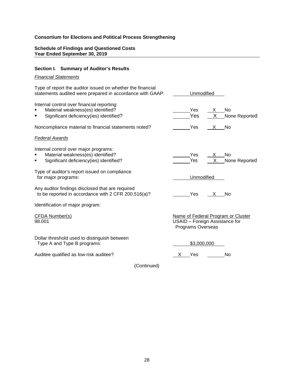## **Schedule of Findings and Questioned Costs Year Ended September 30, 2019**

## **Section I. Summary of Auditor's Results**

## *Financial Statements*

| Type of report the auditor issued on whether the financial<br>statements audited were prepared in accordance with GAAP:    | Unmodified        |          |                                                                      |
|----------------------------------------------------------------------------------------------------------------------------|-------------------|----------|----------------------------------------------------------------------|
| Internal control over financial reporting:<br>Material weakness(es) identified?<br>Significant deficiency(ies) identified? | Yes<br>Yes        | X<br>X   | No<br>None Reported                                                  |
| Noncompliance material to financial statements noted?                                                                      | Yes               | X        | No                                                                   |
| <b>Federal Awards</b>                                                                                                      |                   |          |                                                                      |
| Internal control over major programs:<br>Material weakness(es) identified?<br>Significant deficiency(ies) identified?      | Yes<br>Yes        | X.<br>X. | No<br>None Reported                                                  |
| Type of auditor's report issued on compliance<br>for major programs:                                                       | Unmodified        |          |                                                                      |
| Any auditor findings disclosed that are required<br>to be reported in accordance with 2 CFR 200.516(a)?                    | Yes               | X        | No                                                                   |
| Identification of major program.                                                                                           |                   |          |                                                                      |
| <b>CFDA Number(s)</b><br>98.001                                                                                            | Programs Overseas |          | Name of Federal Program or Cluster<br>USAID - Foreign Assistance for |
| Dollar threshold used to distinguish between<br>Type A and Type B programs:                                                | \$3,000,000       |          |                                                                      |
| Auditee qualified as low-risk auditee?                                                                                     | Yes               |          | No                                                                   |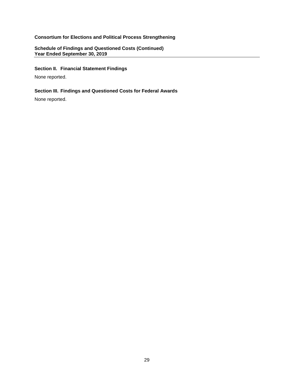## **Schedule of Findings and Questioned Costs (Continued) Year Ended September 30, 2019**

## **Section II. Financial Statement Findings**

None reported.

## **Section III. Findings and Questioned Costs for Federal Awards**

None reported.